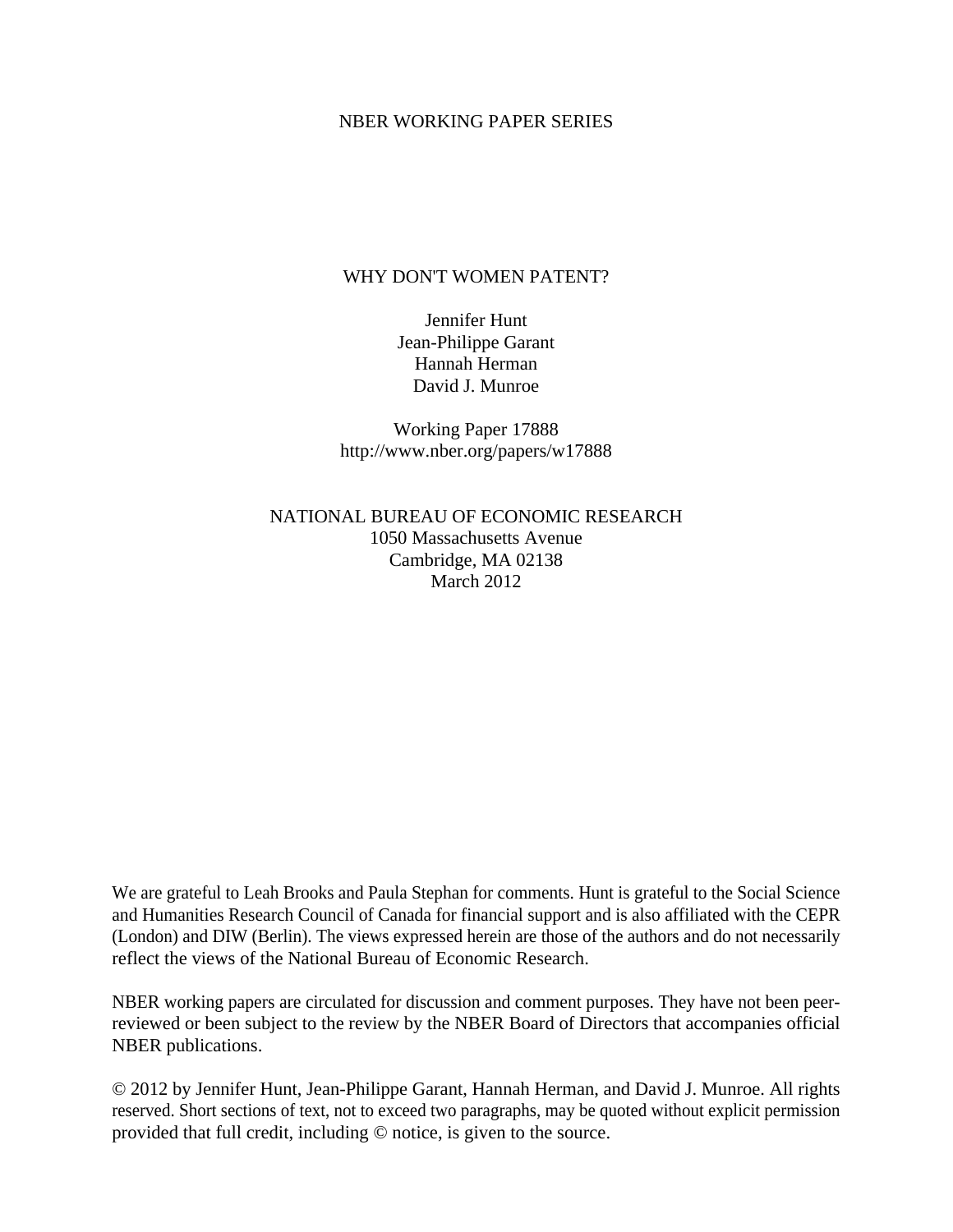#### NBER WORKING PAPER SERIES

### WHY DON'T WOMEN PATENT?

Jennifer Hunt Jean-Philippe Garant Hannah Herman David J. Munroe

Working Paper 17888 http://www.nber.org/papers/w17888

NATIONAL BUREAU OF ECONOMIC RESEARCH 1050 Massachusetts Avenue Cambridge, MA 02138 March 2012

We are grateful to Leah Brooks and Paula Stephan for comments. Hunt is grateful to the Social Science and Humanities Research Council of Canada for financial support and is also affiliated with the CEPR (London) and DIW (Berlin). The views expressed herein are those of the authors and do not necessarily reflect the views of the National Bureau of Economic Research.

NBER working papers are circulated for discussion and comment purposes. They have not been peerreviewed or been subject to the review by the NBER Board of Directors that accompanies official NBER publications.

© 2012 by Jennifer Hunt, Jean-Philippe Garant, Hannah Herman, and David J. Munroe. All rights reserved. Short sections of text, not to exceed two paragraphs, may be quoted without explicit permission provided that full credit, including © notice, is given to the source.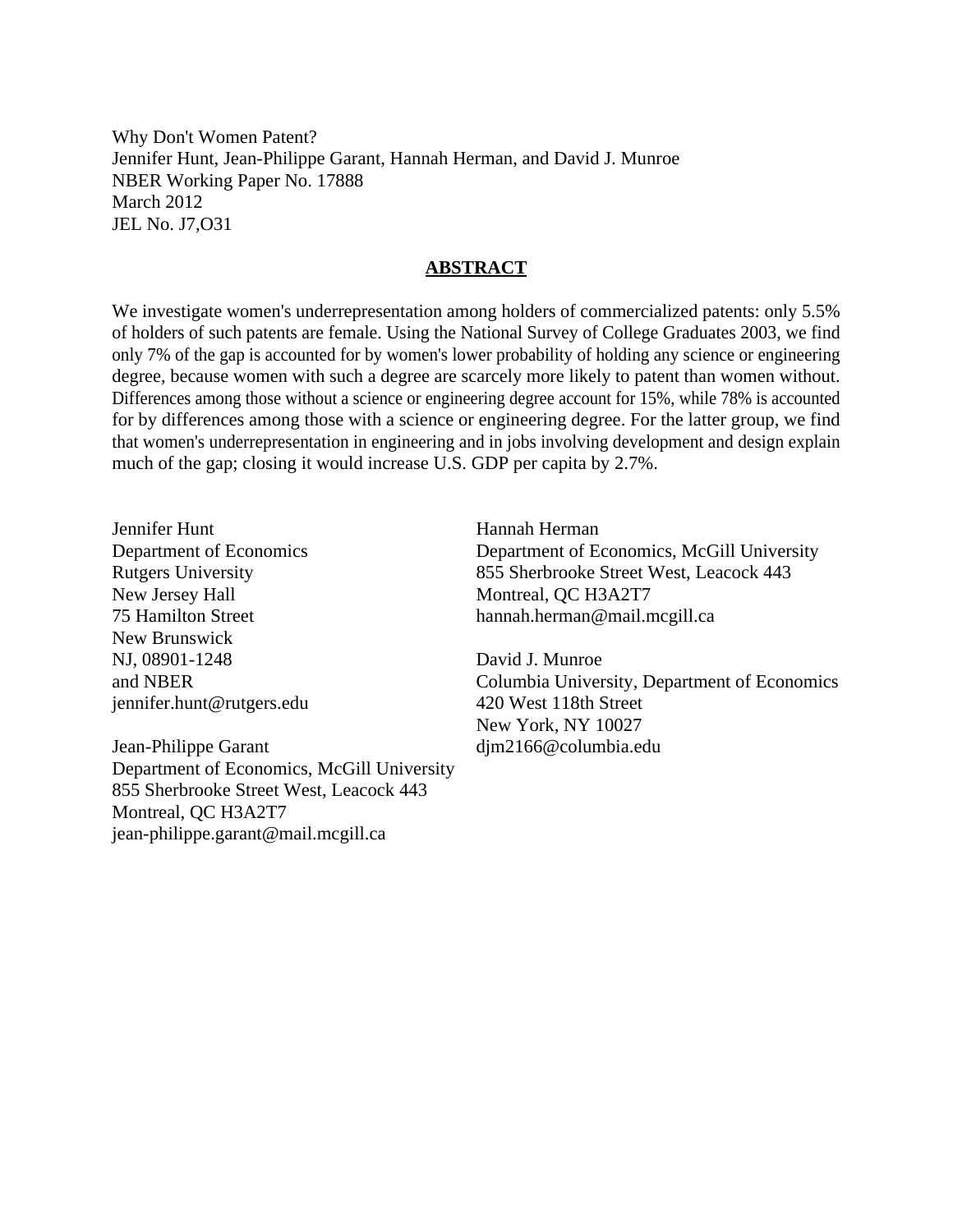Why Don't Women Patent? Jennifer Hunt, Jean-Philippe Garant, Hannah Herman, and David J. Munroe NBER Working Paper No. 17888 March 2012 JEL No. J7,O31

#### **ABSTRACT**

We investigate women's underrepresentation among holders of commercialized patents: only 5.5% of holders of such patents are female. Using the National Survey of College Graduates 2003, we find only 7% of the gap is accounted for by women's lower probability of holding any science or engineering degree, because women with such a degree are scarcely more likely to patent than women without. Differences among those without a science or engineering degree account for 15%, while 78% is accounted for by differences among those with a science or engineering degree. For the latter group, we find that women's underrepresentation in engineering and in jobs involving development and design explain much of the gap; closing it would increase U.S. GDP per capita by 2.7%.

Jennifer Hunt Department of Economics Rutgers University New Jersey Hall 75 Hamilton Street New Brunswick NJ, 08901-1248 and NBER jennifer.hunt@rutgers.edu

Jean-Philippe Garant Department of Economics, McGill University 855 Sherbrooke Street West, Leacock 443 Montreal, QC H3A2T7 jean-philippe.garant@mail.mcgill.ca

Hannah Herman Department of Economics, McGill University 855 Sherbrooke Street West, Leacock 443 Montreal, QC H3A2T7 hannah.herman@mail.mcgill.ca

David J. Munroe Columbia University, Department of Economics 420 West 118th Street New York, NY 10027 djm2166@columbia.edu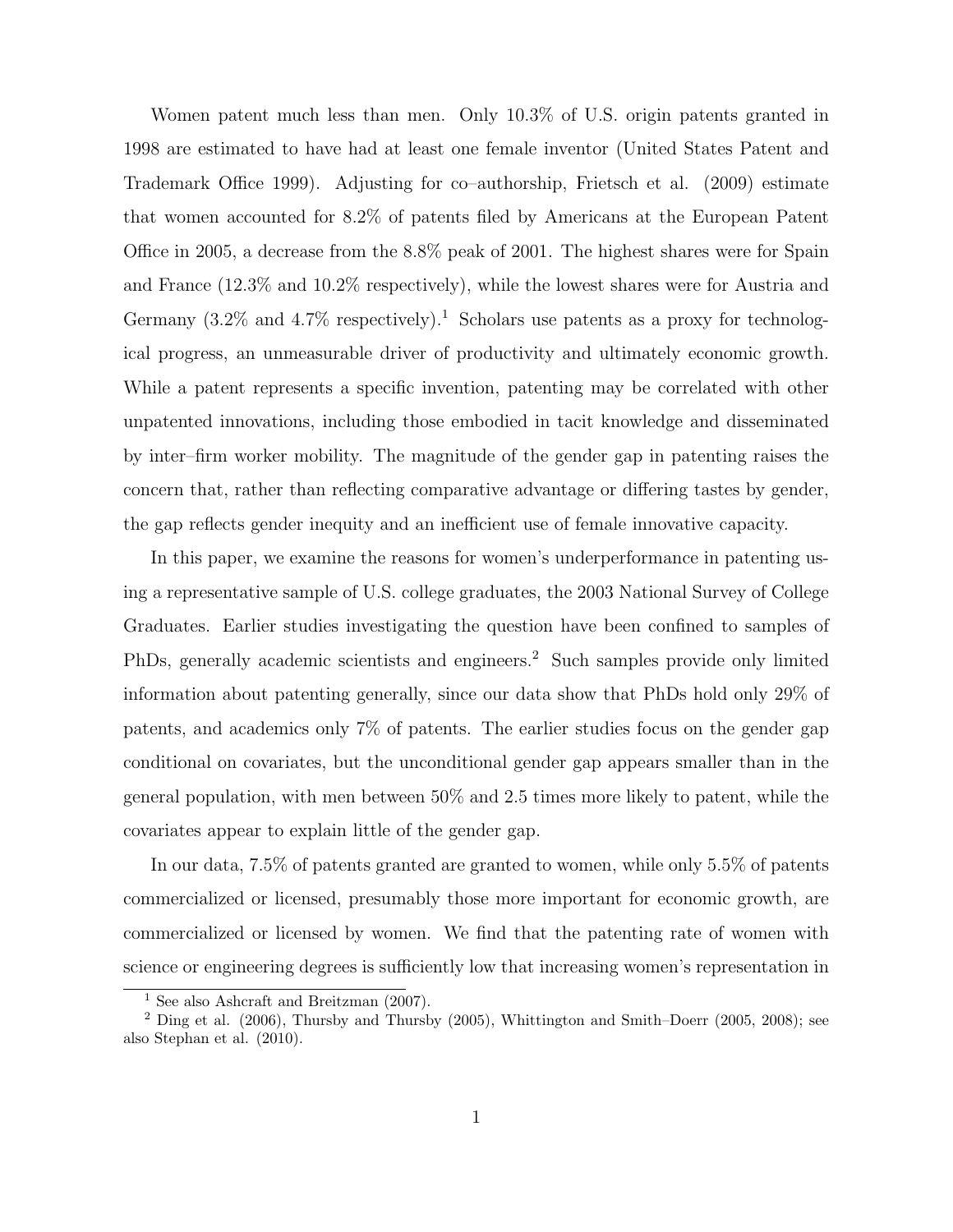Women patent much less than men. Only 10.3% of U.S. origin patents granted in 1998 are estimated to have had at least one female inventor (United States Patent and Trademark Office 1999). Adjusting for co–authorship, Frietsch et al. (2009) estimate that women accounted for 8.2% of patents filed by Americans at the European Patent Office in 2005, a decrease from the 8.8% peak of 2001. The highest shares were for Spain and France (12.3% and 10.2% respectively), while the lowest shares were for Austria and Germany  $(3.2\%$  and  $4.7\%$  respectively).<sup>1</sup> Scholars use patents as a proxy for technological progress, an unmeasurable driver of productivity and ultimately economic growth. While a patent represents a specific invention, patenting may be correlated with other unpatented innovations, including those embodied in tacit knowledge and disseminated by inter–firm worker mobility. The magnitude of the gender gap in patenting raises the concern that, rather than reflecting comparative advantage or differing tastes by gender, the gap reflects gender inequity and an inefficient use of female innovative capacity.

In this paper, we examine the reasons for women's underperformance in patenting using a representative sample of U.S. college graduates, the 2003 National Survey of College Graduates. Earlier studies investigating the question have been confined to samples of PhDs, generally academic scientists and engineers.<sup>2</sup> Such samples provide only limited information about patenting generally, since our data show that PhDs hold only 29% of patents, and academics only 7% of patents. The earlier studies focus on the gender gap conditional on covariates, but the unconditional gender gap appears smaller than in the general population, with men between 50% and 2.5 times more likely to patent, while the covariates appear to explain little of the gender gap.

In our data, 7.5% of patents granted are granted to women, while only 5.5% of patents commercialized or licensed, presumably those more important for economic growth, are commercialized or licensed by women. We find that the patenting rate of women with science or engineering degrees is sufficiently low that increasing women's representation in

<sup>&</sup>lt;sup>1</sup> See also Ashcraft and Breitzman (2007).

<sup>2</sup> Ding et al. (2006), Thursby and Thursby (2005), Whittington and Smith–Doerr (2005, 2008); see also Stephan et al. (2010).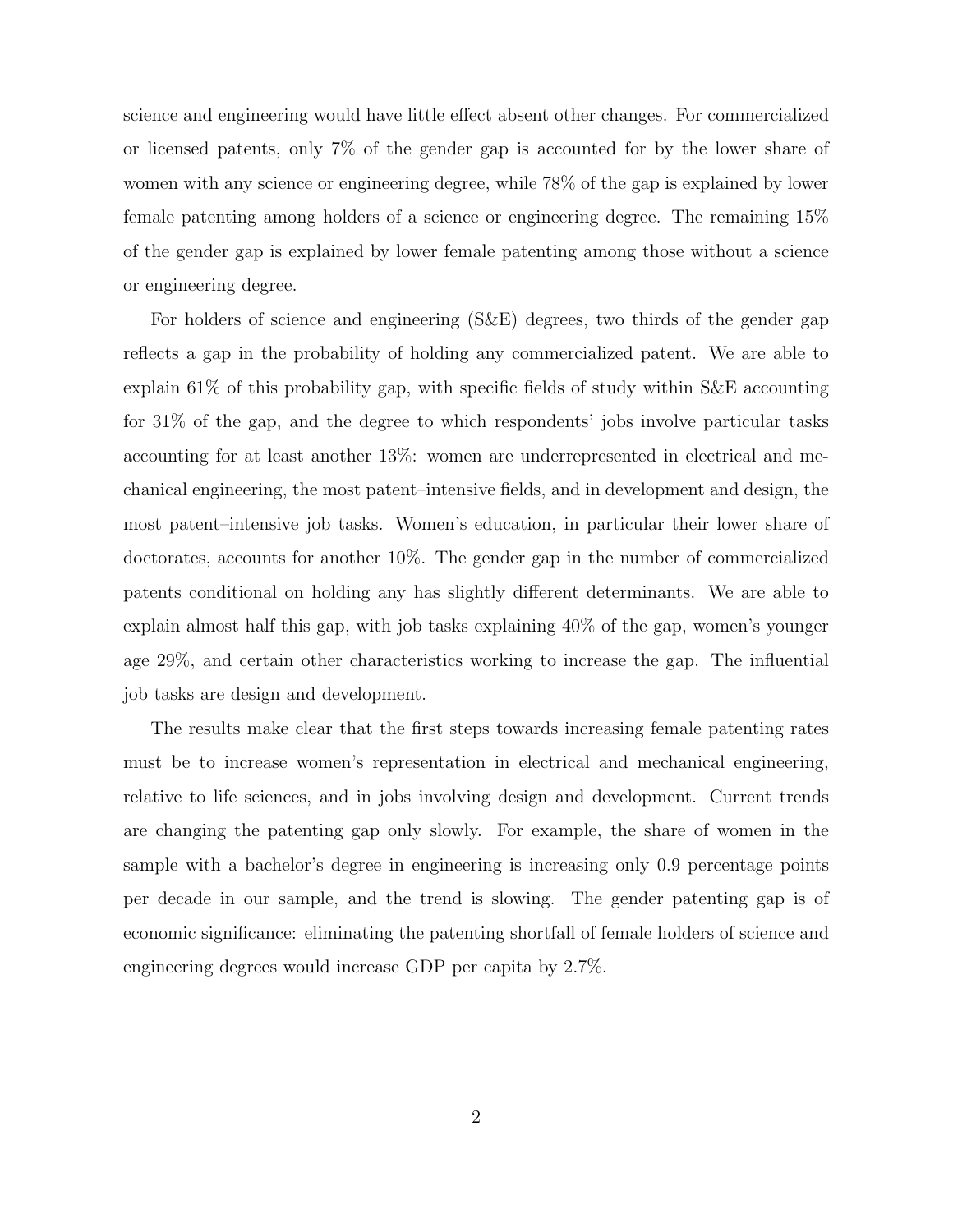science and engineering would have little effect absent other changes. For commercialized or licensed patents, only 7% of the gender gap is accounted for by the lower share of women with any science or engineering degree, while 78% of the gap is explained by lower female patenting among holders of a science or engineering degree. The remaining 15% of the gender gap is explained by lower female patenting among those without a science or engineering degree.

For holders of science and engineering (S&E) degrees, two thirds of the gender gap reflects a gap in the probability of holding any commercialized patent. We are able to explain 61% of this probability gap, with specific fields of study within S&E accounting for 31% of the gap, and the degree to which respondents' jobs involve particular tasks accounting for at least another 13%: women are underrepresented in electrical and mechanical engineering, the most patent–intensive fields, and in development and design, the most patent–intensive job tasks. Women's education, in particular their lower share of doctorates, accounts for another 10%. The gender gap in the number of commercialized patents conditional on holding any has slightly different determinants. We are able to explain almost half this gap, with job tasks explaining 40% of the gap, women's younger age 29%, and certain other characteristics working to increase the gap. The influential job tasks are design and development.

The results make clear that the first steps towards increasing female patenting rates must be to increase women's representation in electrical and mechanical engineering, relative to life sciences, and in jobs involving design and development. Current trends are changing the patenting gap only slowly. For example, the share of women in the sample with a bachelor's degree in engineering is increasing only 0.9 percentage points per decade in our sample, and the trend is slowing. The gender patenting gap is of economic significance: eliminating the patenting shortfall of female holders of science and engineering degrees would increase GDP per capita by 2.7%.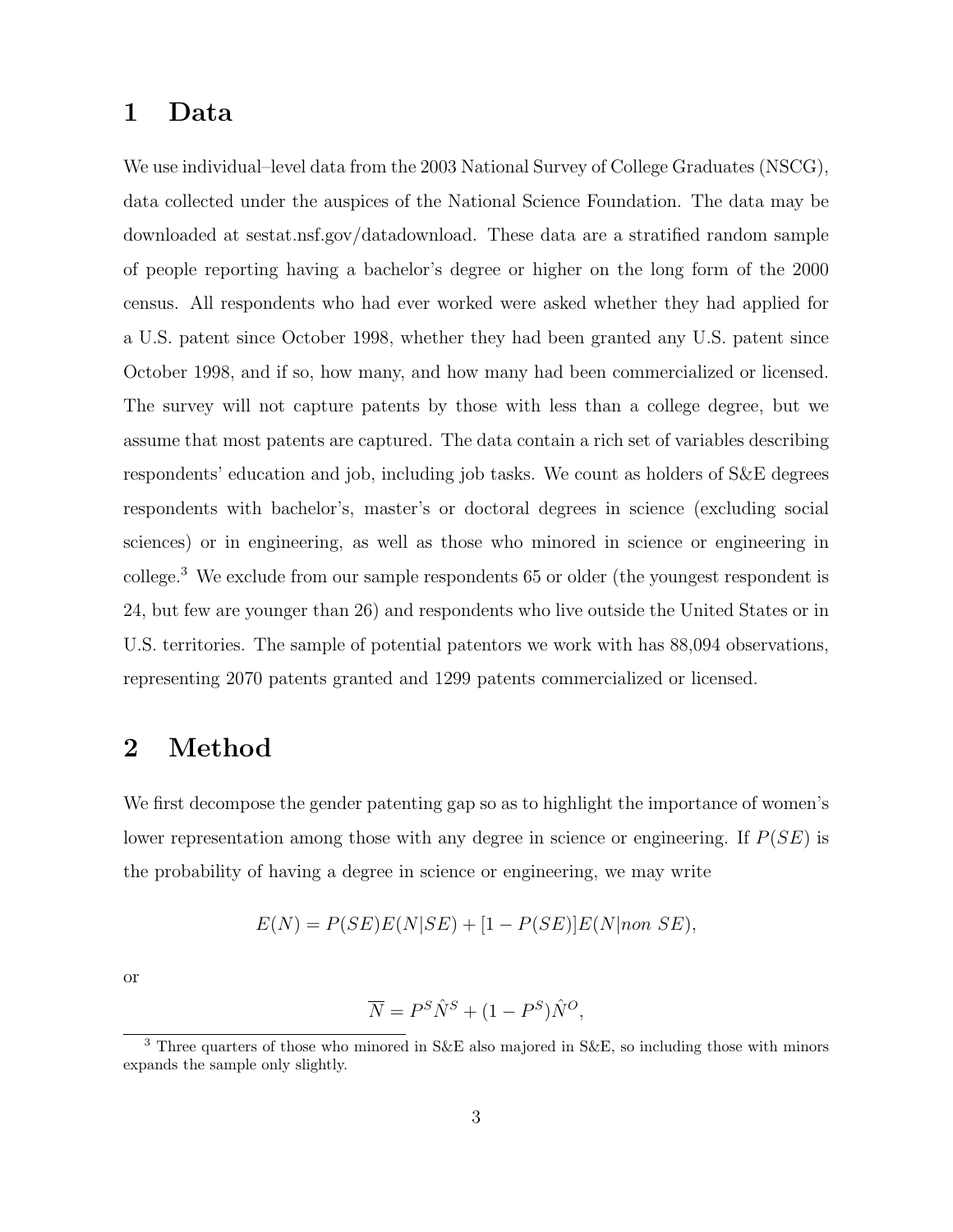## 1 Data

We use individual–level data from the 2003 National Survey of College Graduates (NSCG), data collected under the auspices of the National Science Foundation. The data may be downloaded at sestat.nsf.gov/datadownload. These data are a stratified random sample of people reporting having a bachelor's degree or higher on the long form of the 2000 census. All respondents who had ever worked were asked whether they had applied for a U.S. patent since October 1998, whether they had been granted any U.S. patent since October 1998, and if so, how many, and how many had been commercialized or licensed. The survey will not capture patents by those with less than a college degree, but we assume that most patents are captured. The data contain a rich set of variables describing respondents' education and job, including job tasks. We count as holders of S&E degrees respondents with bachelor's, master's or doctoral degrees in science (excluding social sciences) or in engineering, as well as those who minored in science or engineering in college.<sup>3</sup> We exclude from our sample respondents 65 or older (the youngest respondent is 24, but few are younger than 26) and respondents who live outside the United States or in U.S. territories. The sample of potential patentors we work with has 88,094 observations, representing 2070 patents granted and 1299 patents commercialized or licensed.

## 2 Method

We first decompose the gender patenting gap so as to highlight the importance of women's lower representation among those with any degree in science or engineering. If  $P(SE)$  is the probability of having a degree in science or engineering, we may write

$$
E(N) = P(SE)E(N|SE) + [1 - P(SE)]E(N|non SE),
$$

or

$$
\overline{N} = P^S \hat{N}^S + (1 - P^S) \hat{N}^O,
$$

<sup>&</sup>lt;sup>3</sup> Three quarters of those who minored in S&E also majored in S&E, so including those with minors expands the sample only slightly.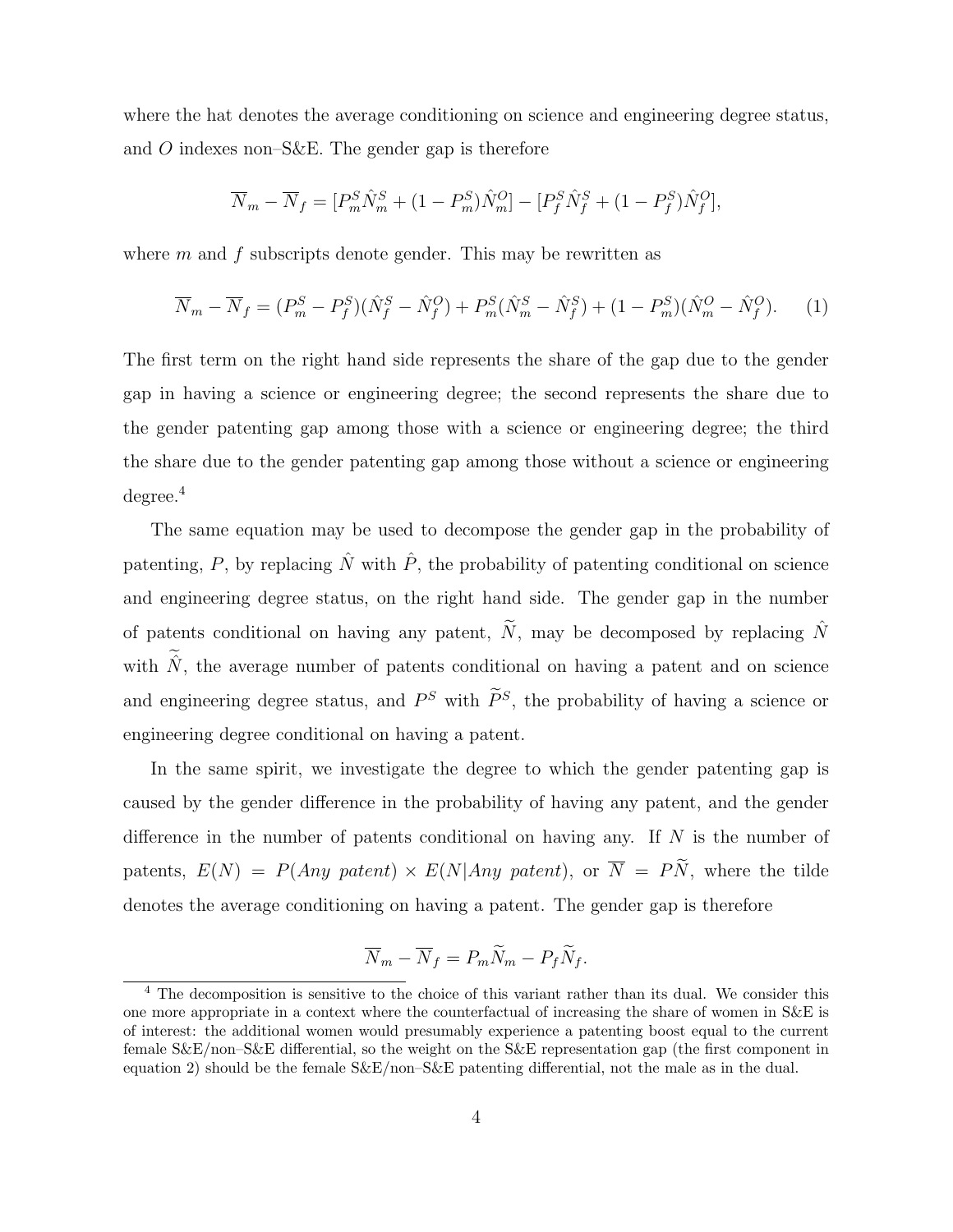where the hat denotes the average conditioning on science and engineering degree status, and O indexes non–S&E. The gender gap is therefore

$$
\overline{N}_m - \overline{N}_f = [P_m^S \hat{N}_m^S + (1 - P_m^S) \hat{N}_m^O] - [P_f^S \hat{N}_f^S + (1 - P_f^S) \hat{N}_f^O],
$$

where  $m$  and  $f$  subscripts denote gender. This may be rewritten as

$$
\overline{N}_m - \overline{N}_f = (P_m^S - P_f^S)(\hat{N}_f^S - \hat{N}_f^O) + P_m^S(\hat{N}_m^S - \hat{N}_f^S) + (1 - P_m^S)(\hat{N}_m^O - \hat{N}_f^O). \tag{1}
$$

The first term on the right hand side represents the share of the gap due to the gender gap in having a science or engineering degree; the second represents the share due to the gender patenting gap among those with a science or engineering degree; the third the share due to the gender patenting gap among those without a science or engineering  $degree<sup>4</sup>$ 

The same equation may be used to decompose the gender gap in the probability of patenting, P, by replacing  $\hat{N}$  with  $\hat{P}$ , the probability of patenting conditional on science and engineering degree status, on the right hand side. The gender gap in the number of patents conditional on having any patent,  $\widetilde{N}$ , may be decomposed by replacing  $\widehat{N}$ with  $\hat{N}$ , the average number of patents conditional on having a patent and on science and engineering degree status, and  $P^S$  with  $\tilde{P}^S$ , the probability of having a science or engineering degree conditional on having a patent.

In the same spirit, we investigate the degree to which the gender patenting gap is caused by the gender difference in the probability of having any patent, and the gender difference in the number of patents conditional on having any. If  $N$  is the number of patents,  $E(N) = P(Any\ patent) \times E(N|Any\ patent)$ , or  $\overline{N} = P\widetilde{N}$ , where the tilde denotes the average conditioning on having a patent. The gender gap is therefore

$$
\overline{N}_m - \overline{N}_f = P_m \widetilde{N}_m - P_f \widetilde{N}_f.
$$

<sup>4</sup> The decomposition is sensitive to the choice of this variant rather than its dual. We consider this one more appropriate in a context where the counterfactual of increasing the share of women in S&E is of interest: the additional women would presumably experience a patenting boost equal to the current female S&E/non–S&E differential, so the weight on the S&E representation gap (the first component in equation 2) should be the female S&E/non–S&E patenting differential, not the male as in the dual.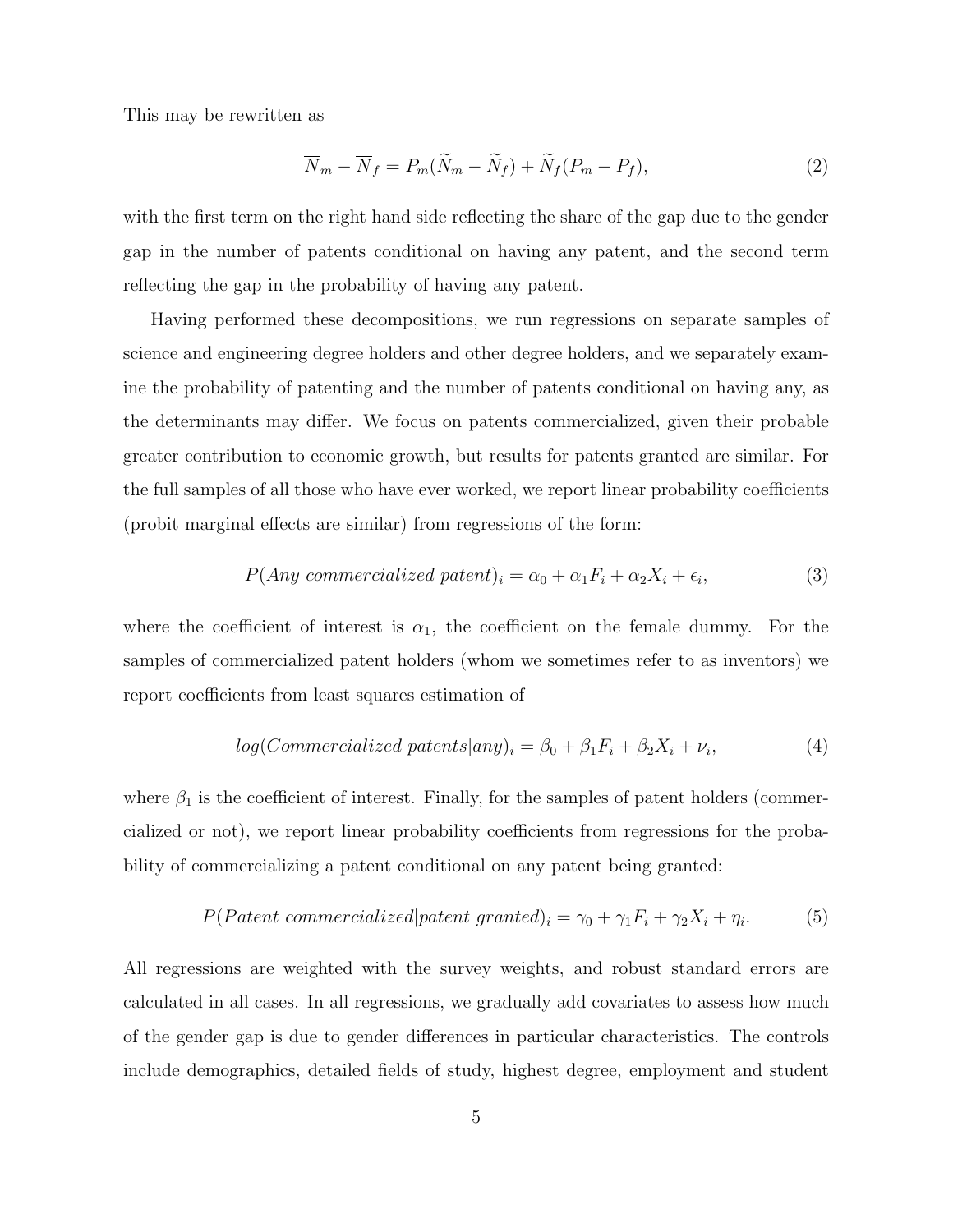This may be rewritten as

$$
\overline{N}_m - \overline{N}_f = P_m(\widetilde{N}_m - \widetilde{N}_f) + \widetilde{N}_f(P_m - P_f),\tag{2}
$$

with the first term on the right hand side reflecting the share of the gap due to the gender gap in the number of patents conditional on having any patent, and the second term reflecting the gap in the probability of having any patent.

Having performed these decompositions, we run regressions on separate samples of science and engineering degree holders and other degree holders, and we separately examine the probability of patenting and the number of patents conditional on having any, as the determinants may differ. We focus on patents commercialized, given their probable greater contribution to economic growth, but results for patents granted are similar. For the full samples of all those who have ever worked, we report linear probability coefficients (probit marginal effects are similar) from regressions of the form:

$$
P(Any \; commercialized \; patent)_i = \alpha_0 + \alpha_1 F_i + \alpha_2 X_i + \epsilon_i,
$$
\n(3)

where the coefficient of interest is  $\alpha_1$ , the coefficient on the female dummy. For the samples of commercialized patent holders (whom we sometimes refer to as inventors) we report coefficients from least squares estimation of

$$
log(Commercialized\,\,paths|any)_i = \beta_0 + \beta_1 F_i + \beta_2 X_i + \nu_i,\tag{4}
$$

where  $\beta_1$  is the coefficient of interest. Finally, for the samples of patent holders (commercialized or not), we report linear probability coefficients from regressions for the probability of commercializing a patent conditional on any patent being granted:

$$
P(Patent \, commercialized| patent \, granted)_i = \gamma_0 + \gamma_1 F_i + \gamma_2 X_i + \eta_i. \tag{5}
$$

All regressions are weighted with the survey weights, and robust standard errors are calculated in all cases. In all regressions, we gradually add covariates to assess how much of the gender gap is due to gender differences in particular characteristics. The controls include demographics, detailed fields of study, highest degree, employment and student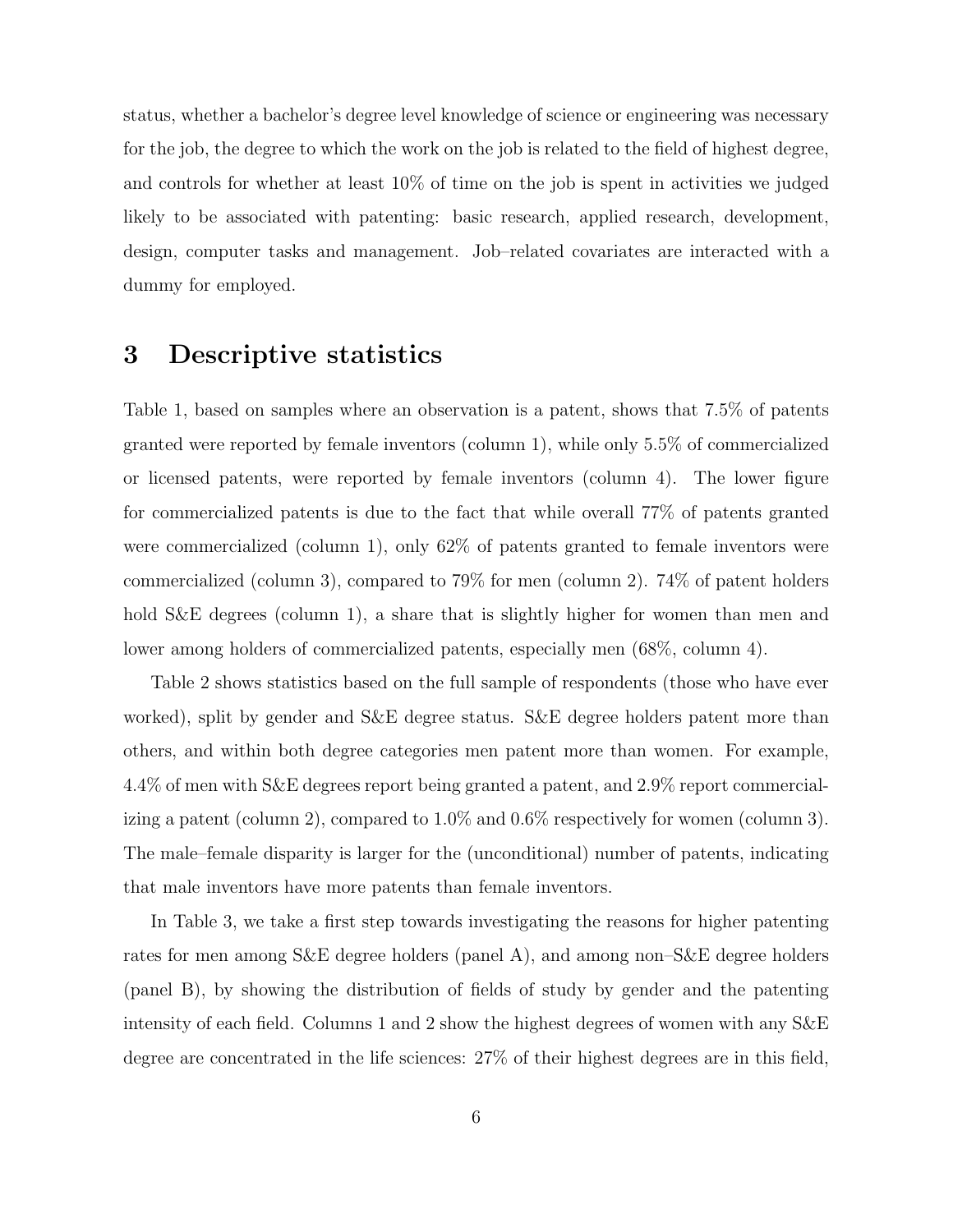status, whether a bachelor's degree level knowledge of science or engineering was necessary for the job, the degree to which the work on the job is related to the field of highest degree, and controls for whether at least 10% of time on the job is spent in activities we judged likely to be associated with patenting: basic research, applied research, development, design, computer tasks and management. Job–related covariates are interacted with a dummy for employed.

## 3 Descriptive statistics

Table 1, based on samples where an observation is a patent, shows that 7.5% of patents granted were reported by female inventors (column 1), while only 5.5% of commercialized or licensed patents, were reported by female inventors (column 4). The lower figure for commercialized patents is due to the fact that while overall 77% of patents granted were commercialized (column 1), only 62% of patents granted to female inventors were commercialized (column 3), compared to 79% for men (column 2). 74% of patent holders hold S&E degrees (column 1), a share that is slightly higher for women than men and lower among holders of commercialized patents, especially men (68%, column 4).

Table 2 shows statistics based on the full sample of respondents (those who have ever worked), split by gender and S&E degree status. S&E degree holders patent more than others, and within both degree categories men patent more than women. For example, 4.4% of men with S&E degrees report being granted a patent, and 2.9% report commercializing a patent (column 2), compared to 1.0% and 0.6% respectively for women (column 3). The male–female disparity is larger for the (unconditional) number of patents, indicating that male inventors have more patents than female inventors.

In Table 3, we take a first step towards investigating the reasons for higher patenting rates for men among S&E degree holders (panel A), and among non–S&E degree holders (panel B), by showing the distribution of fields of study by gender and the patenting intensity of each field. Columns 1 and 2 show the highest degrees of women with any S&E degree are concentrated in the life sciences: 27% of their highest degrees are in this field,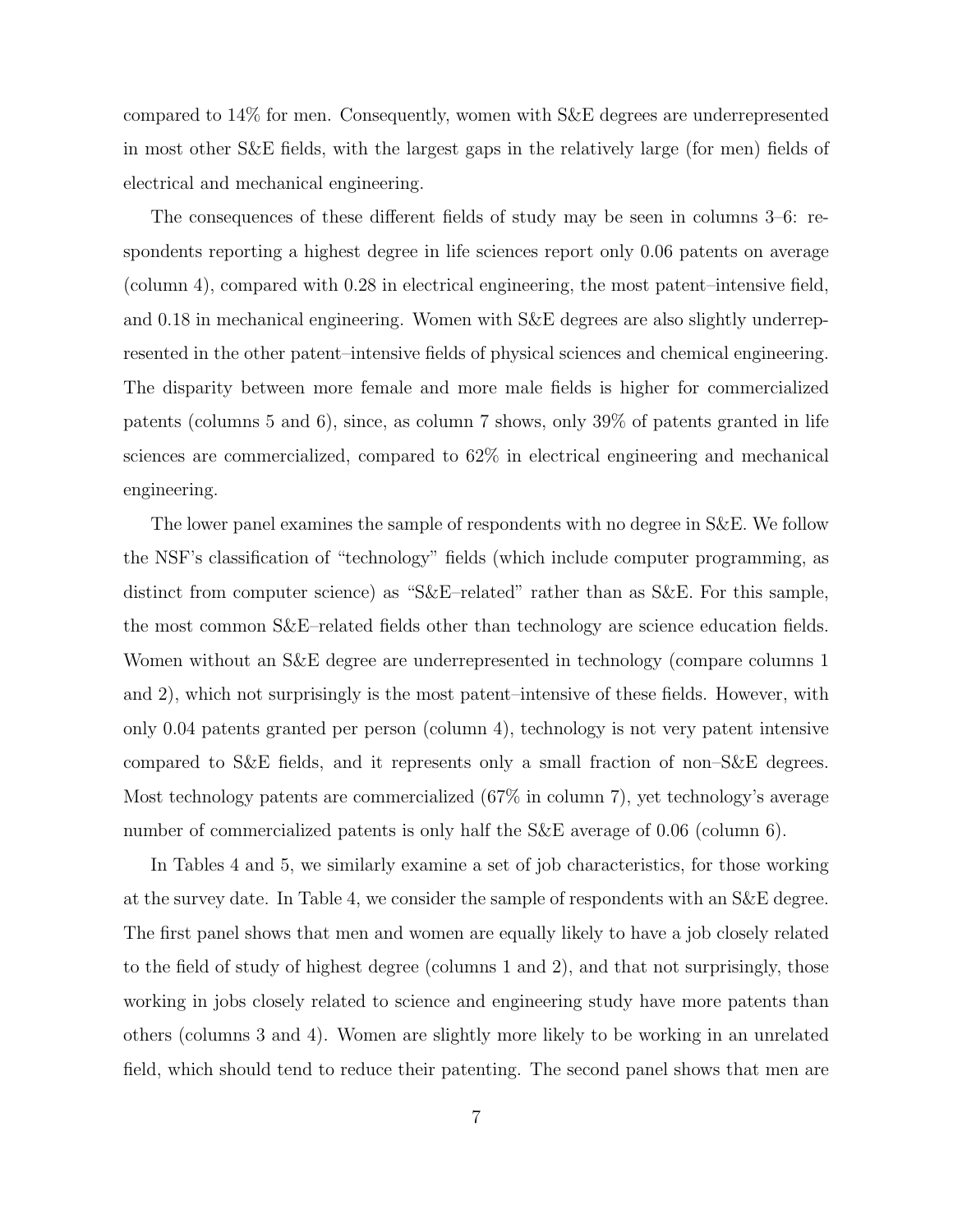compared to 14% for men. Consequently, women with S&E degrees are underrepresented in most other S&E fields, with the largest gaps in the relatively large (for men) fields of electrical and mechanical engineering.

The consequences of these different fields of study may be seen in columns 3–6: respondents reporting a highest degree in life sciences report only 0.06 patents on average (column 4), compared with 0.28 in electrical engineering, the most patent–intensive field, and 0.18 in mechanical engineering. Women with S&E degrees are also slightly underrepresented in the other patent–intensive fields of physical sciences and chemical engineering. The disparity between more female and more male fields is higher for commercialized patents (columns 5 and 6), since, as column 7 shows, only 39% of patents granted in life sciences are commercialized, compared to 62% in electrical engineering and mechanical engineering.

The lower panel examines the sample of respondents with no degree in S&E. We follow the NSF's classification of "technology" fields (which include computer programming, as distinct from computer science) as "S&E–related" rather than as S&E. For this sample, the most common S&E–related fields other than technology are science education fields. Women without an S&E degree are underrepresented in technology (compare columns 1 and 2), which not surprisingly is the most patent–intensive of these fields. However, with only 0.04 patents granted per person (column 4), technology is not very patent intensive compared to S&E fields, and it represents only a small fraction of non–S&E degrees. Most technology patents are commercialized (67% in column 7), yet technology's average number of commercialized patents is only half the S&E average of 0.06 (column 6).

In Tables 4 and 5, we similarly examine a set of job characteristics, for those working at the survey date. In Table 4, we consider the sample of respondents with an S&E degree. The first panel shows that men and women are equally likely to have a job closely related to the field of study of highest degree (columns 1 and 2), and that not surprisingly, those working in jobs closely related to science and engineering study have more patents than others (columns 3 and 4). Women are slightly more likely to be working in an unrelated field, which should tend to reduce their patenting. The second panel shows that men are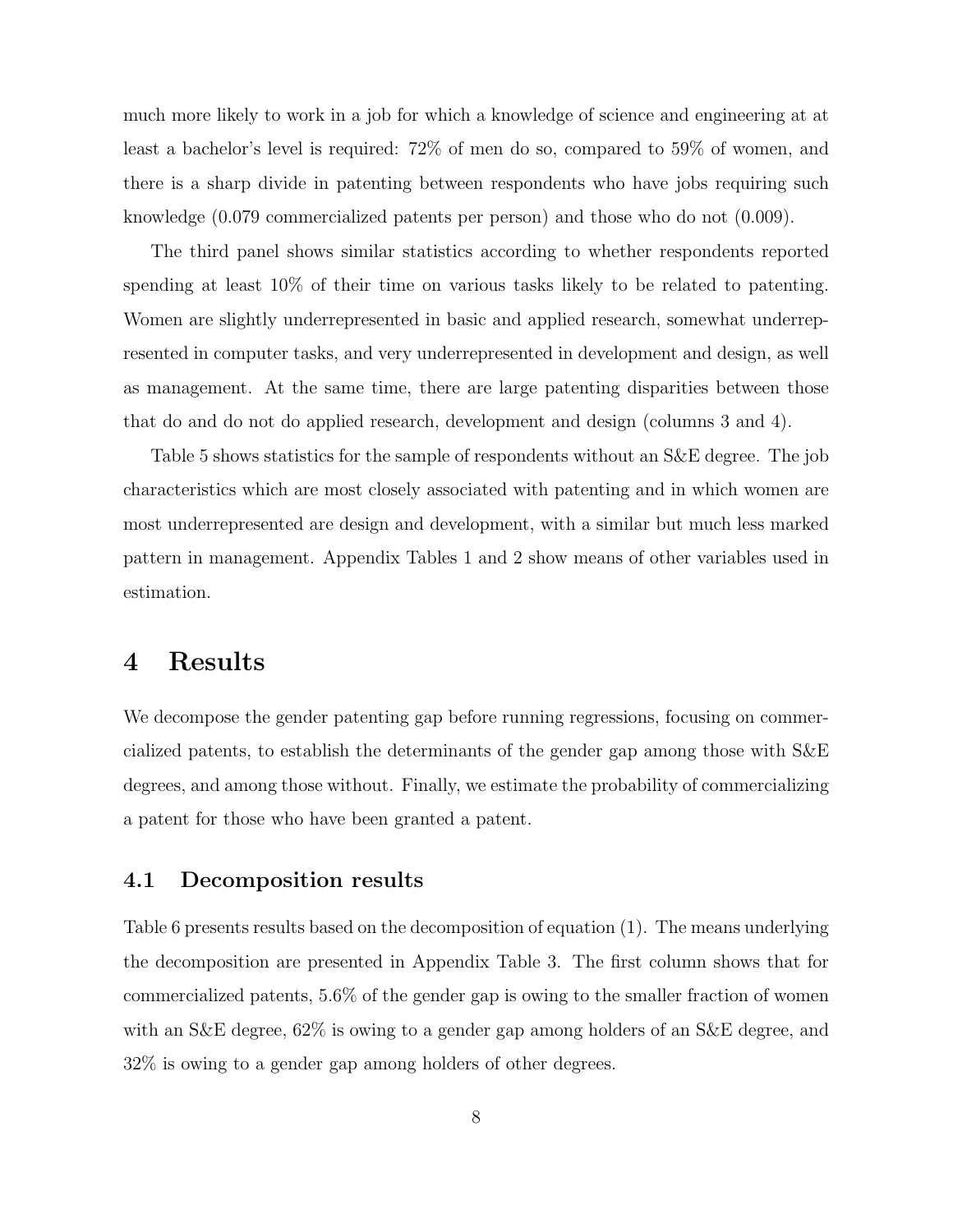much more likely to work in a job for which a knowledge of science and engineering at at least a bachelor's level is required: 72% of men do so, compared to 59% of women, and there is a sharp divide in patenting between respondents who have jobs requiring such knowledge (0.079 commercialized patents per person) and those who do not (0.009).

The third panel shows similar statistics according to whether respondents reported spending at least 10% of their time on various tasks likely to be related to patenting. Women are slightly underrepresented in basic and applied research, somewhat underrepresented in computer tasks, and very underrepresented in development and design, as well as management. At the same time, there are large patenting disparities between those that do and do not do applied research, development and design (columns 3 and 4).

Table 5 shows statistics for the sample of respondents without an S&E degree. The job characteristics which are most closely associated with patenting and in which women are most underrepresented are design and development, with a similar but much less marked pattern in management. Appendix Tables 1 and 2 show means of other variables used in estimation.

## 4 Results

We decompose the gender patenting gap before running regressions, focusing on commercialized patents, to establish the determinants of the gender gap among those with S&E degrees, and among those without. Finally, we estimate the probability of commercializing a patent for those who have been granted a patent.

### 4.1 Decomposition results

Table 6 presents results based on the decomposition of equation (1). The means underlying the decomposition are presented in Appendix Table 3. The first column shows that for commercialized patents, 5.6% of the gender gap is owing to the smaller fraction of women with an S&E degree, 62% is owing to a gender gap among holders of an S&E degree, and 32% is owing to a gender gap among holders of other degrees.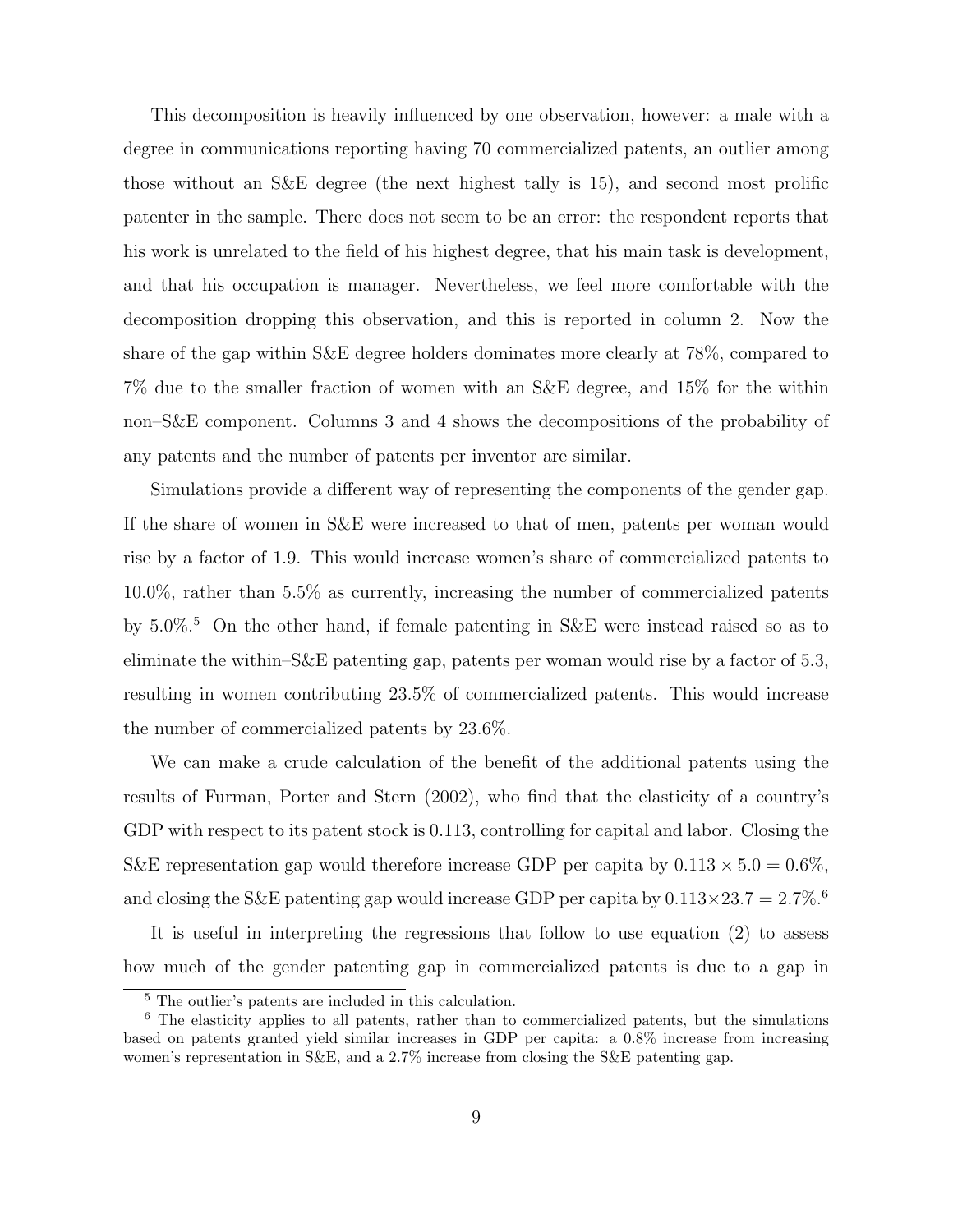This decomposition is heavily influenced by one observation, however: a male with a degree in communications reporting having 70 commercialized patents, an outlier among those without an S&E degree (the next highest tally is 15), and second most prolific patenter in the sample. There does not seem to be an error: the respondent reports that his work is unrelated to the field of his highest degree, that his main task is development, and that his occupation is manager. Nevertheless, we feel more comfortable with the decomposition dropping this observation, and this is reported in column 2. Now the share of the gap within S&E degree holders dominates more clearly at 78%, compared to 7% due to the smaller fraction of women with an S&E degree, and 15% for the within non–S&E component. Columns 3 and 4 shows the decompositions of the probability of any patents and the number of patents per inventor are similar.

Simulations provide a different way of representing the components of the gender gap. If the share of women in S&E were increased to that of men, patents per woman would rise by a factor of 1.9. This would increase women's share of commercialized patents to 10.0%, rather than 5.5% as currently, increasing the number of commercialized patents by 5.0%.<sup>5</sup> On the other hand, if female patenting in S&E were instead raised so as to eliminate the within–S&E patenting gap, patents per woman would rise by a factor of 5.3, resulting in women contributing 23.5% of commercialized patents. This would increase the number of commercialized patents by 23.6%.

We can make a crude calculation of the benefit of the additional patents using the results of Furman, Porter and Stern (2002), who find that the elasticity of a country's GDP with respect to its patent stock is 0.113, controlling for capital and labor. Closing the S&E representation gap would therefore increase GDP per capita by  $0.113 \times 5.0 = 0.6\%$ , and closing the S&E patenting gap would increase GDP per capita by  $0.113 \times 23.7 = 2.7\%$ .<sup>6</sup>

It is useful in interpreting the regressions that follow to use equation (2) to assess how much of the gender patenting gap in commercialized patents is due to a gap in

<sup>5</sup> The outlier's patents are included in this calculation.

<sup>6</sup> The elasticity applies to all patents, rather than to commercialized patents, but the simulations based on patents granted yield similar increases in GDP per capita: a 0.8% increase from increasing women's representation in S&E, and a 2.7% increase from closing the S&E patenting gap.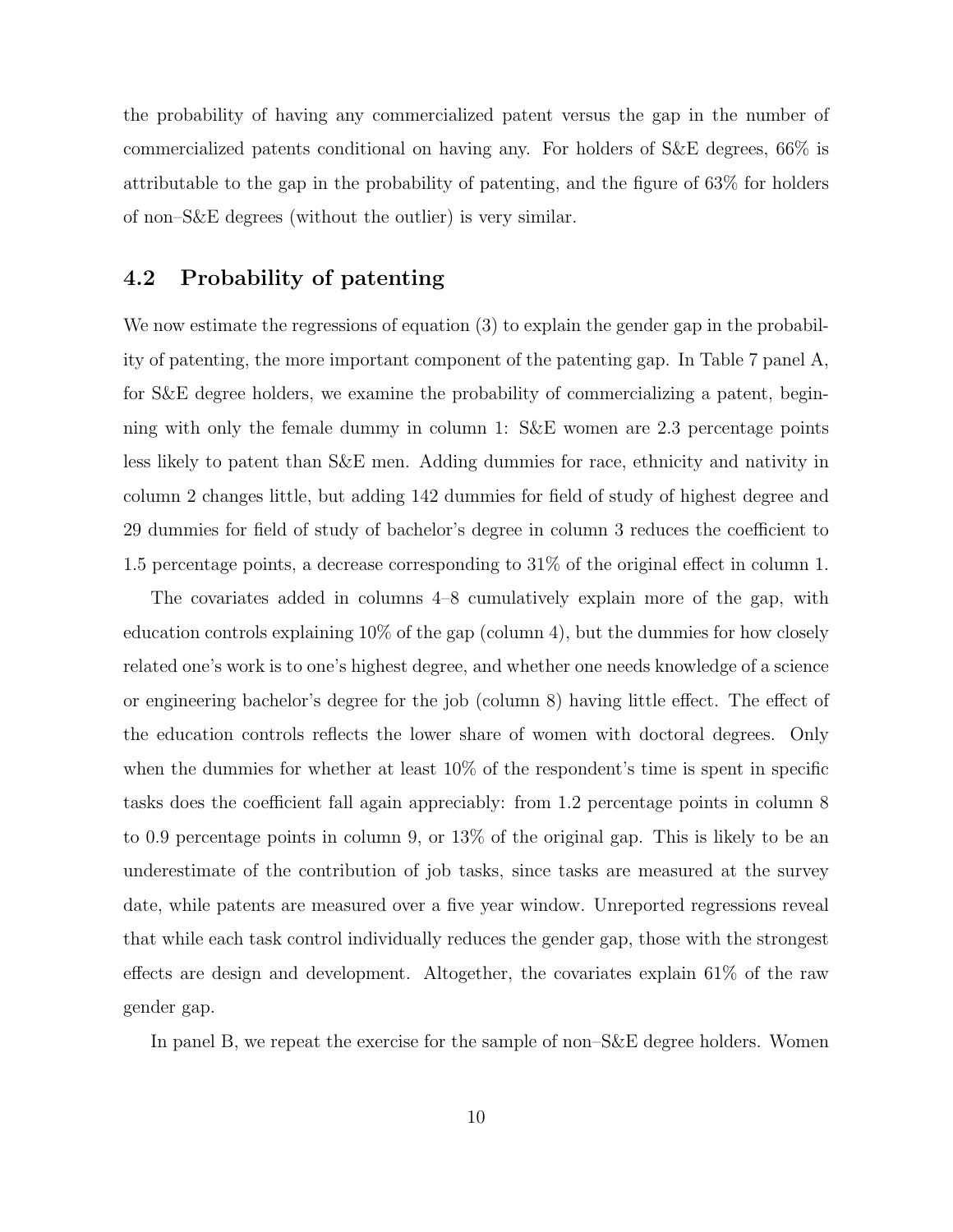the probability of having any commercialized patent versus the gap in the number of commercialized patents conditional on having any. For holders of S&E degrees, 66% is attributable to the gap in the probability of patenting, and the figure of 63% for holders of non–S&E degrees (without the outlier) is very similar.

### 4.2 Probability of patenting

We now estimate the regressions of equation (3) to explain the gender gap in the probability of patenting, the more important component of the patenting gap. In Table 7 panel A, for S&E degree holders, we examine the probability of commercializing a patent, beginning with only the female dummy in column 1: S&E women are 2.3 percentage points less likely to patent than S&E men. Adding dummies for race, ethnicity and nativity in column 2 changes little, but adding 142 dummies for field of study of highest degree and 29 dummies for field of study of bachelor's degree in column 3 reduces the coefficient to 1.5 percentage points, a decrease corresponding to 31% of the original effect in column 1.

The covariates added in columns 4–8 cumulatively explain more of the gap, with education controls explaining  $10\%$  of the gap (column 4), but the dummies for how closely related one's work is to one's highest degree, and whether one needs knowledge of a science or engineering bachelor's degree for the job (column 8) having little effect. The effect of the education controls reflects the lower share of women with doctoral degrees. Only when the dummies for whether at least  $10\%$  of the respondent's time is spent in specific tasks does the coefficient fall again appreciably: from 1.2 percentage points in column 8 to 0.9 percentage points in column 9, or 13% of the original gap. This is likely to be an underestimate of the contribution of job tasks, since tasks are measured at the survey date, while patents are measured over a five year window. Unreported regressions reveal that while each task control individually reduces the gender gap, those with the strongest effects are design and development. Altogether, the covariates explain 61% of the raw gender gap.

In panel B, we repeat the exercise for the sample of non–S&E degree holders. Women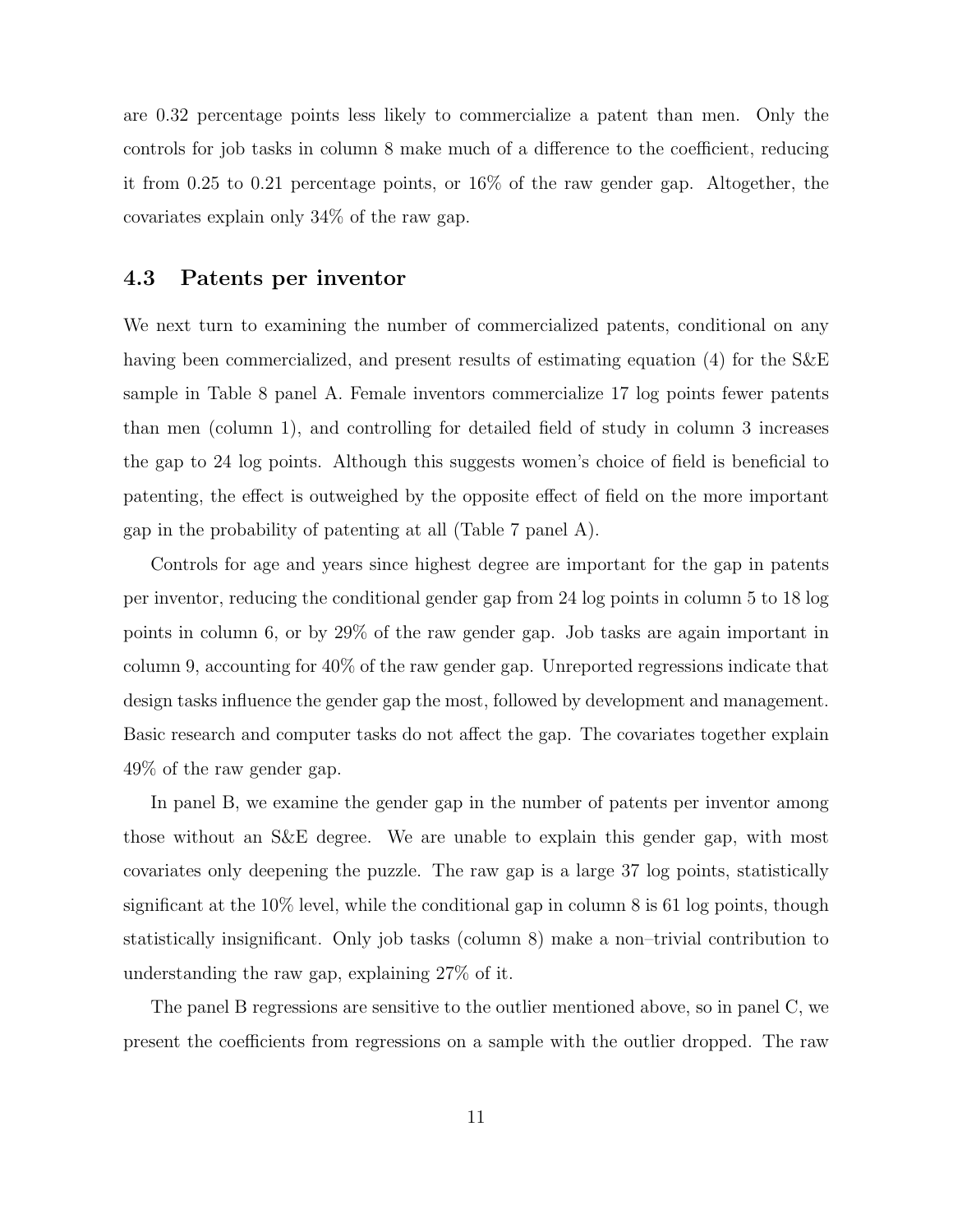are 0.32 percentage points less likely to commercialize a patent than men. Only the controls for job tasks in column 8 make much of a difference to the coefficient, reducing it from 0.25 to 0.21 percentage points, or 16% of the raw gender gap. Altogether, the covariates explain only 34% of the raw gap.

### 4.3 Patents per inventor

We next turn to examining the number of commercialized patents, conditional on any having been commercialized, and present results of estimating equation (4) for the S&E sample in Table 8 panel A. Female inventors commercialize 17 log points fewer patents than men (column 1), and controlling for detailed field of study in column 3 increases the gap to 24 log points. Although this suggests women's choice of field is beneficial to patenting, the effect is outweighed by the opposite effect of field on the more important gap in the probability of patenting at all (Table 7 panel A).

Controls for age and years since highest degree are important for the gap in patents per inventor, reducing the conditional gender gap from 24 log points in column 5 to 18 log points in column 6, or by 29% of the raw gender gap. Job tasks are again important in column 9, accounting for 40% of the raw gender gap. Unreported regressions indicate that design tasks influence the gender gap the most, followed by development and management. Basic research and computer tasks do not affect the gap. The covariates together explain 49% of the raw gender gap.

In panel B, we examine the gender gap in the number of patents per inventor among those without an S&E degree. We are unable to explain this gender gap, with most covariates only deepening the puzzle. The raw gap is a large 37 log points, statistically significant at the 10% level, while the conditional gap in column 8 is 61 log points, though statistically insignificant. Only job tasks (column 8) make a non–trivial contribution to understanding the raw gap, explaining 27% of it.

The panel B regressions are sensitive to the outlier mentioned above, so in panel C, we present the coefficients from regressions on a sample with the outlier dropped. The raw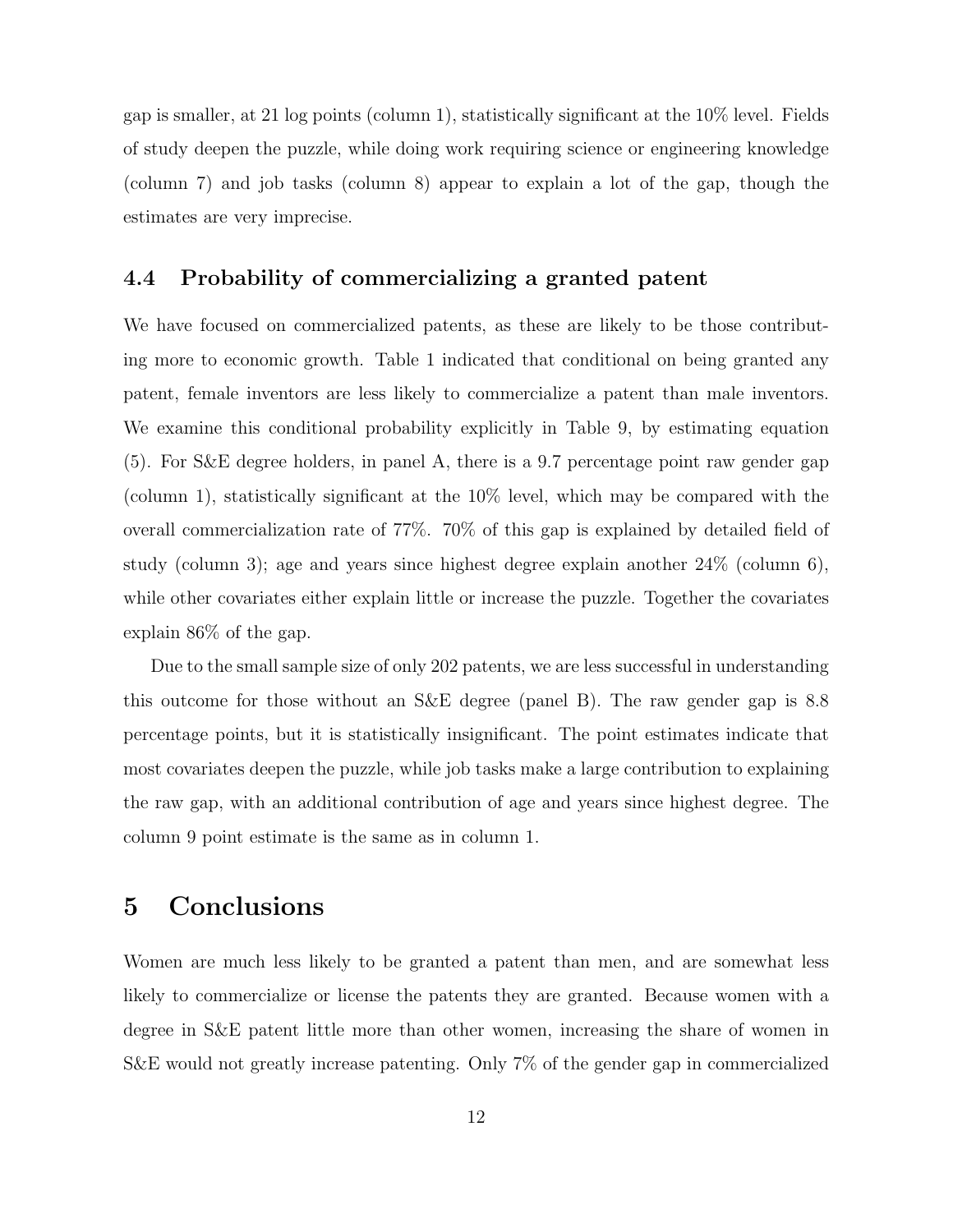gap is smaller, at 21 log points (column 1), statistically significant at the  $10\%$  level. Fields of study deepen the puzzle, while doing work requiring science or engineering knowledge (column 7) and job tasks (column 8) appear to explain a lot of the gap, though the estimates are very imprecise.

### 4.4 Probability of commercializing a granted patent

We have focused on commercialized patents, as these are likely to be those contributing more to economic growth. Table 1 indicated that conditional on being granted any patent, female inventors are less likely to commercialize a patent than male inventors. We examine this conditional probability explicitly in Table 9, by estimating equation (5). For S&E degree holders, in panel A, there is a 9.7 percentage point raw gender gap (column 1), statistically significant at the 10% level, which may be compared with the overall commercialization rate of 77%. 70% of this gap is explained by detailed field of study (column 3); age and years since highest degree explain another 24% (column 6), while other covariates either explain little or increase the puzzle. Together the covariates explain 86% of the gap.

Due to the small sample size of only 202 patents, we are less successful in understanding this outcome for those without an S&E degree (panel B). The raw gender gap is 8.8 percentage points, but it is statistically insignificant. The point estimates indicate that most covariates deepen the puzzle, while job tasks make a large contribution to explaining the raw gap, with an additional contribution of age and years since highest degree. The column 9 point estimate is the same as in column 1.

# 5 Conclusions

Women are much less likely to be granted a patent than men, and are somewhat less likely to commercialize or license the patents they are granted. Because women with a degree in S&E patent little more than other women, increasing the share of women in S&E would not greatly increase patenting. Only 7% of the gender gap in commercialized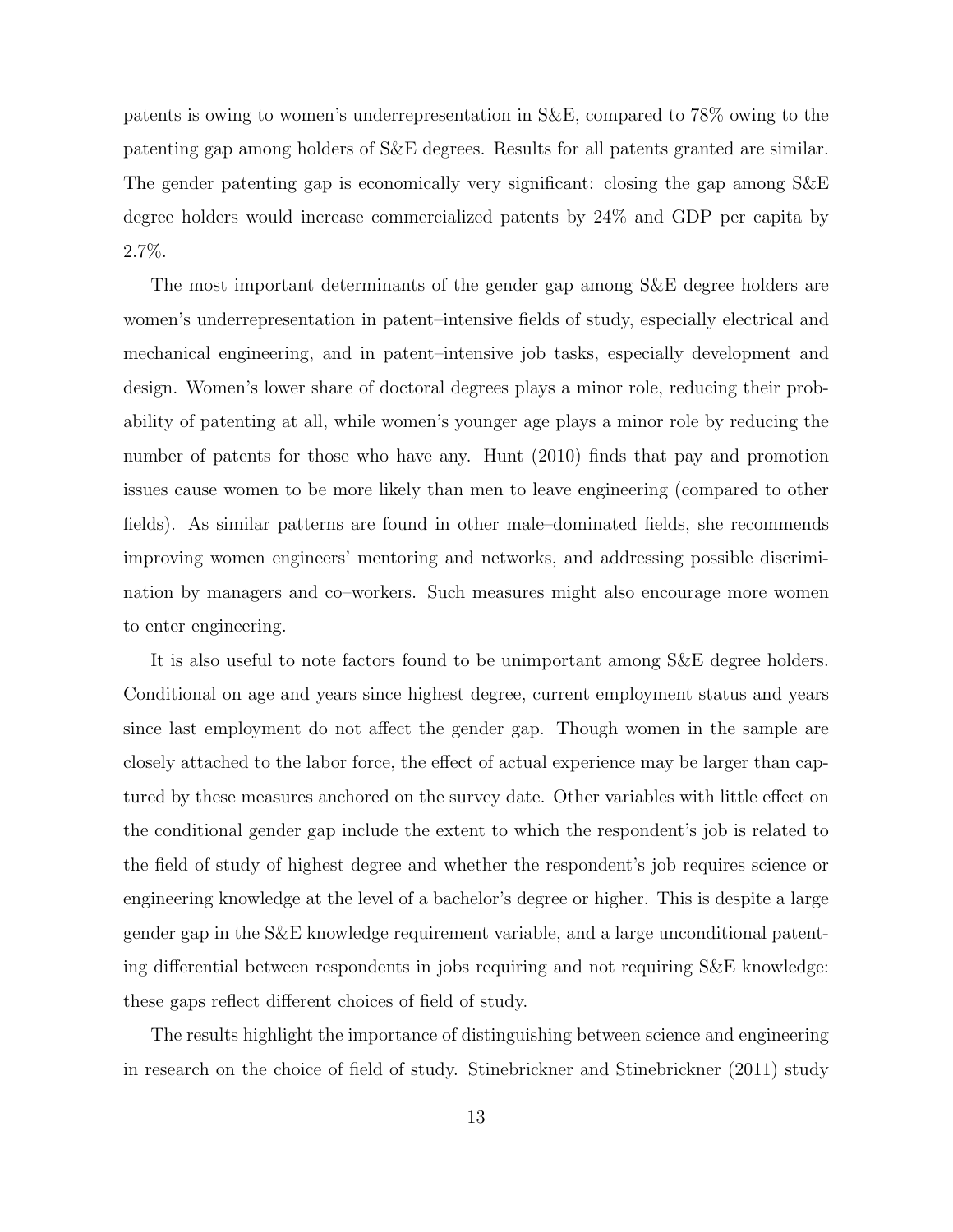patents is owing to women's underrepresentation in S&E, compared to 78% owing to the patenting gap among holders of S&E degrees. Results for all patents granted are similar. The gender patenting gap is economically very significant: closing the gap among S&E degree holders would increase commercialized patents by 24% and GDP per capita by 2.7%.

The most important determinants of the gender gap among S&E degree holders are women's underrepresentation in patent–intensive fields of study, especially electrical and mechanical engineering, and in patent–intensive job tasks, especially development and design. Women's lower share of doctoral degrees plays a minor role, reducing their probability of patenting at all, while women's younger age plays a minor role by reducing the number of patents for those who have any. Hunt (2010) finds that pay and promotion issues cause women to be more likely than men to leave engineering (compared to other fields). As similar patterns are found in other male–dominated fields, she recommends improving women engineers' mentoring and networks, and addressing possible discrimination by managers and co–workers. Such measures might also encourage more women to enter engineering.

It is also useful to note factors found to be unimportant among S&E degree holders. Conditional on age and years since highest degree, current employment status and years since last employment do not affect the gender gap. Though women in the sample are closely attached to the labor force, the effect of actual experience may be larger than captured by these measures anchored on the survey date. Other variables with little effect on the conditional gender gap include the extent to which the respondent's job is related to the field of study of highest degree and whether the respondent's job requires science or engineering knowledge at the level of a bachelor's degree or higher. This is despite a large gender gap in the S&E knowledge requirement variable, and a large unconditional patenting differential between respondents in jobs requiring and not requiring S&E knowledge: these gaps reflect different choices of field of study.

The results highlight the importance of distinguishing between science and engineering in research on the choice of field of study. Stinebrickner and Stinebrickner (2011) study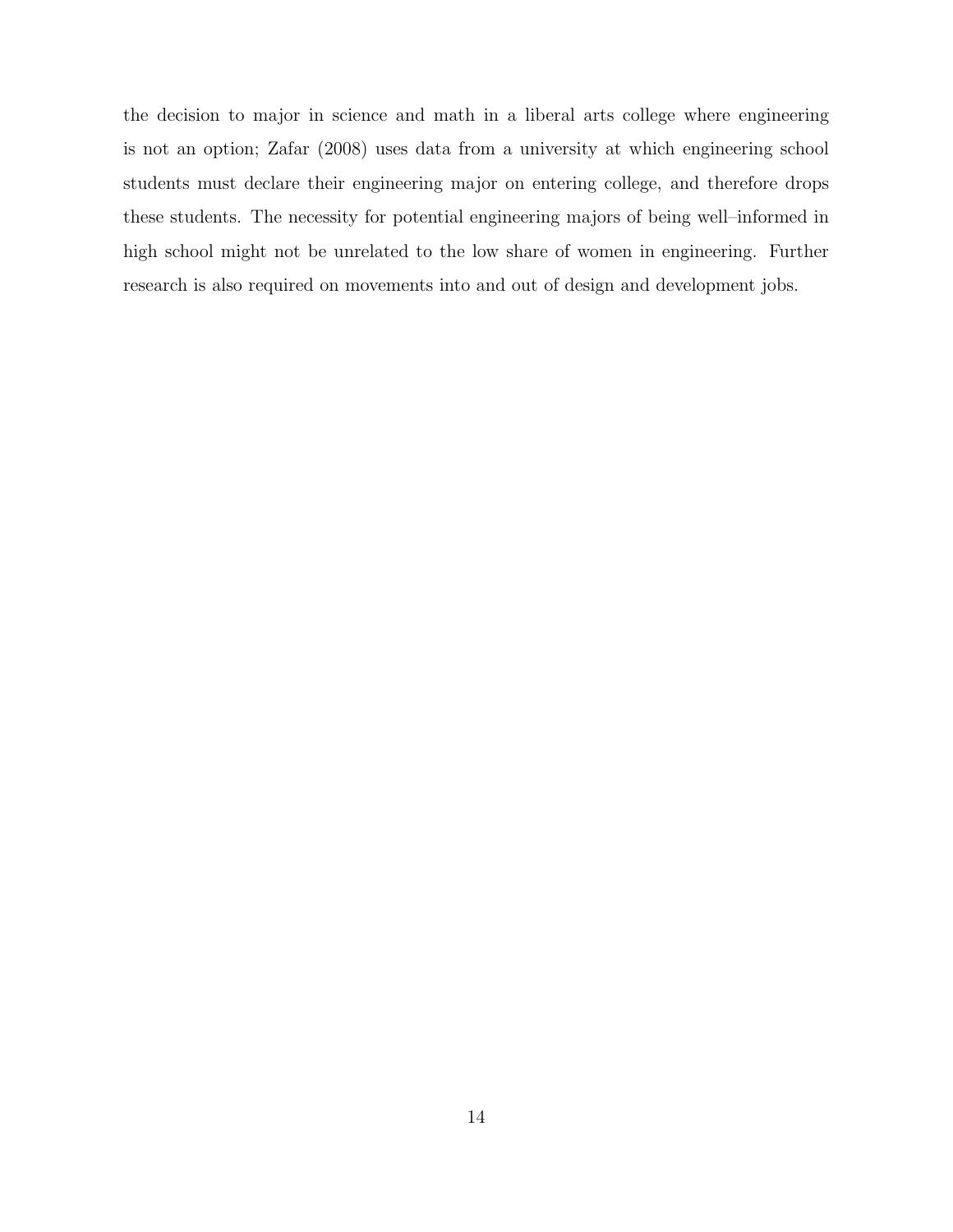the decision to major in science and math in a liberal arts college where engineering is not an option; Zafar (2008) uses data from a university at which engineering school students must declare their engineering major on entering college, and therefore drops these students. The necessity for potential engineering majors of being well–informed in high school might not be unrelated to the low share of women in engineering. Further research is also required on movements into and out of design and development jobs.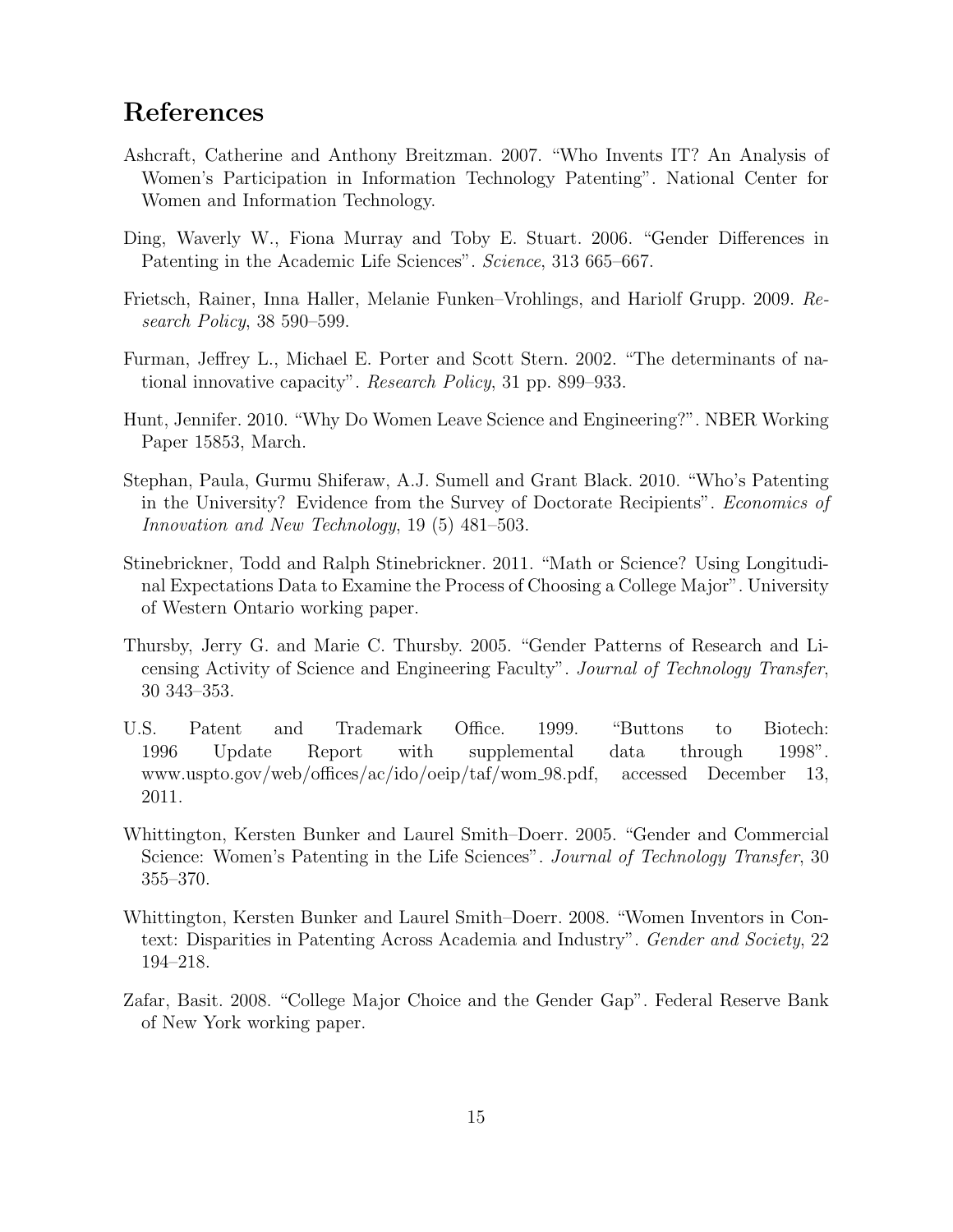# References

- Ashcraft, Catherine and Anthony Breitzman. 2007. "Who Invents IT? An Analysis of Women's Participation in Information Technology Patenting". National Center for Women and Information Technology.
- Ding, Waverly W., Fiona Murray and Toby E. Stuart. 2006. "Gender Differences in Patenting in the Academic Life Sciences". Science, 313 665–667.
- Frietsch, Rainer, Inna Haller, Melanie Funken–Vrohlings, and Hariolf Grupp. 2009. Research Policy, 38 590–599.
- Furman, Jeffrey L., Michael E. Porter and Scott Stern. 2002. "The determinants of national innovative capacity". Research Policy, 31 pp. 899–933.
- Hunt, Jennifer. 2010. "Why Do Women Leave Science and Engineering?". NBER Working Paper 15853, March.
- Stephan, Paula, Gurmu Shiferaw, A.J. Sumell and Grant Black. 2010. "Who's Patenting in the University? Evidence from the Survey of Doctorate Recipients". Economics of Innovation and New Technology, 19 (5) 481–503.
- Stinebrickner, Todd and Ralph Stinebrickner. 2011. "Math or Science? Using Longitudinal Expectations Data to Examine the Process of Choosing a College Major". University of Western Ontario working paper.
- Thursby, Jerry G. and Marie C. Thursby. 2005. "Gender Patterns of Research and Licensing Activity of Science and Engineering Faculty". Journal of Technology Transfer, 30 343–353.
- U.S. Patent and Trademark Office. 1999. "Buttons to Biotech: 1996 Update Report with supplemental data through 1998". www.uspto.gov/web/offices/ac/ido/oeip/taf/wom 98.pdf, accessed December 13, 2011.
- Whittington, Kersten Bunker and Laurel Smith–Doerr. 2005. "Gender and Commercial Science: Women's Patenting in the Life Sciences". Journal of Technology Transfer, 30 355–370.
- Whittington, Kersten Bunker and Laurel Smith–Doerr. 2008. "Women Inventors in Context: Disparities in Patenting Across Academia and Industry". Gender and Society, 22 194–218.
- Zafar, Basit. 2008. "College Major Choice and the Gender Gap". Federal Reserve Bank of New York working paper.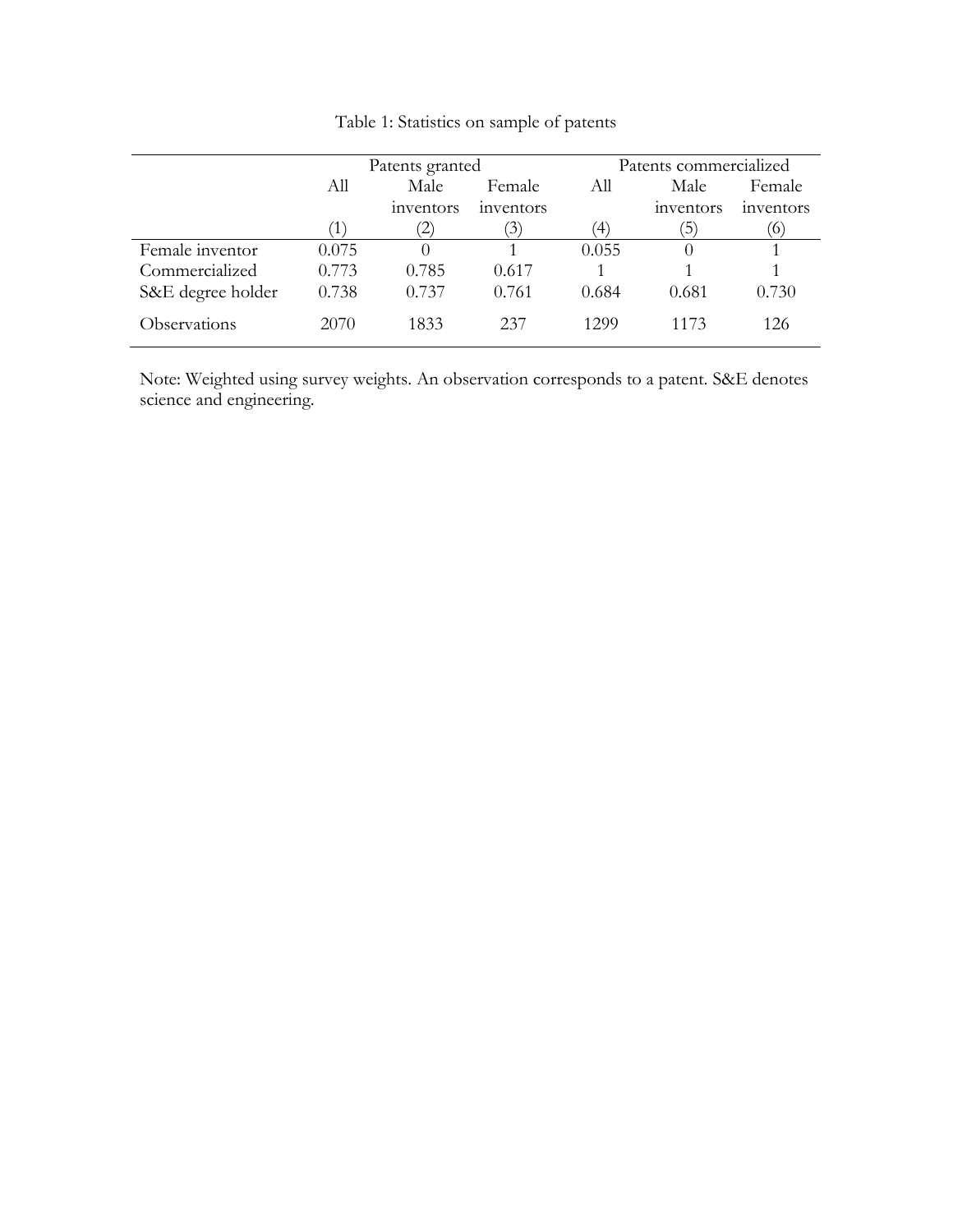|                   |       | Patents granted    |                | Patents commercialized |               |           |  |
|-------------------|-------|--------------------|----------------|------------------------|---------------|-----------|--|
|                   | All   | Male               | Female         | All                    | Male          | Female    |  |
|                   |       | <i>s</i> inventors | inventors      |                        | inventors     | inventors |  |
|                   | 1     | $\mathbb{Z}^n$     | $\mathfrak{I}$ | $\langle 4 \rangle$    | $\mathcal{D}$ | $\alpha$  |  |
| Female inventor   | 0.075 |                    |                | 0.055                  | $\theta$      |           |  |
| Commercialized    | 0.773 | 0.785              | 0.617          |                        |               |           |  |
| S&E degree holder | 0.738 | 0.737              | 0.761          | 0.684                  | 0.681         | 0.730     |  |
| Observations      | 2070  | 1833               | 237            | 1299                   | 1173          | 126       |  |

Table 1: Statistics on sample of patents

Note: Weighted using survey weights. An observation corresponds to a patent. S&E denotes science and engineering.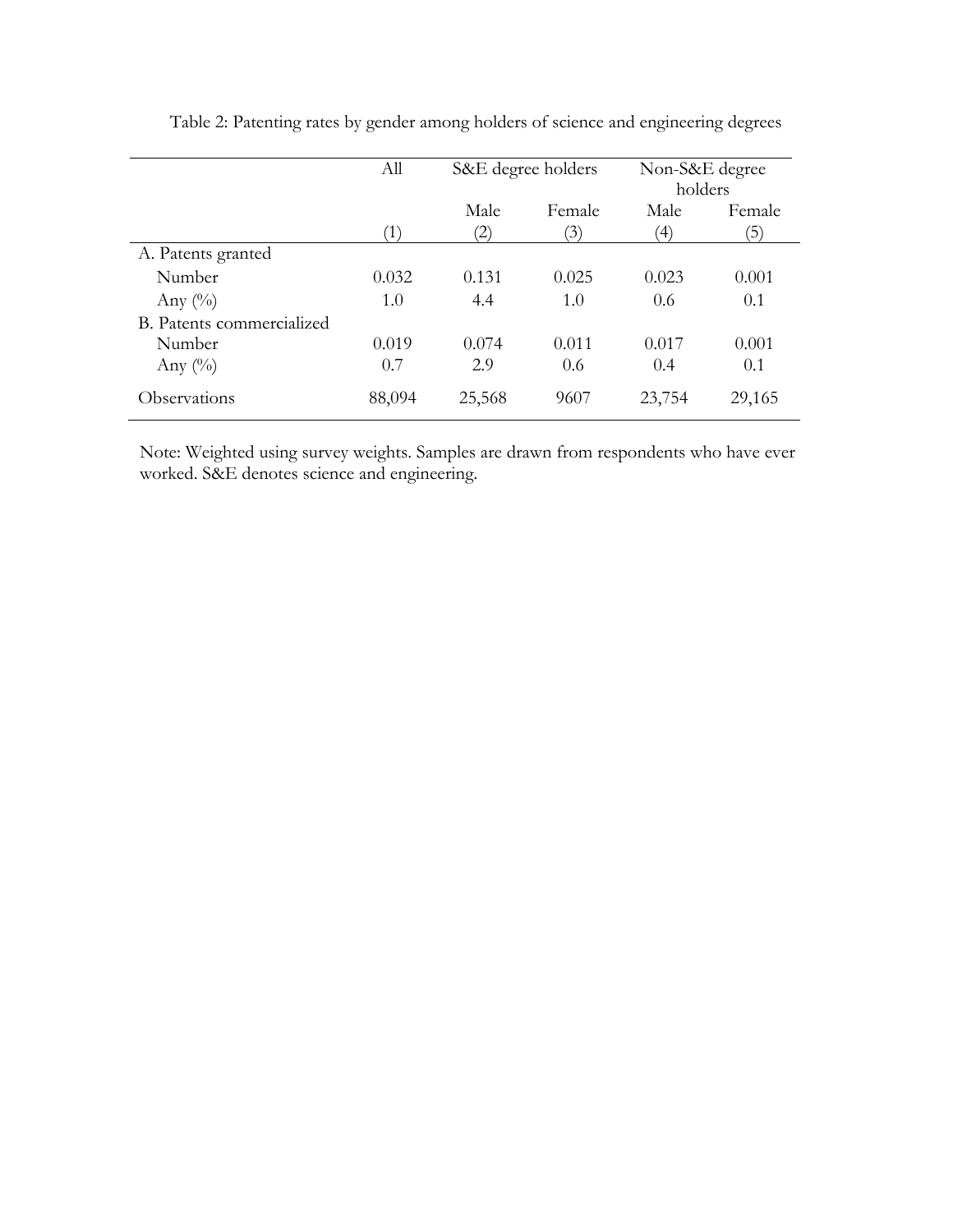|                           | All    | S&E degree holders |                          | Non-S&E degree<br>holders |              |
|---------------------------|--------|--------------------|--------------------------|---------------------------|--------------|
|                           | Ί      | Male<br>2)         | Female<br>$\mathfrak{B}$ | Male<br>$\left( 4\right)$ | Female<br>5) |
| A. Patents granted        |        |                    |                          |                           |              |
| Number                    | 0.032  | 0.131              | 0.025                    | 0.023                     | 0.001        |
| Any $(\%)$                | 1.0    | 4.4                | 1.0                      | 0.6                       | 0.1          |
| B. Patents commercialized |        |                    |                          |                           |              |
| Number                    | 0.019  | 0.074              | 0.011                    | 0.017                     | 0.001        |
| Any $(\%)$                | 0.7    | 2.9                | 0.6                      | 0.4                       | 0.1          |
| Observations              | 88,094 | 25,568             | 9607                     | 23,754                    | 29,165       |

Table 2: Patenting rates by gender among holders of science and engineering degrees

Note: Weighted using survey weights. Samples are drawn from respondents who have ever worked. S&E denotes science and engineering.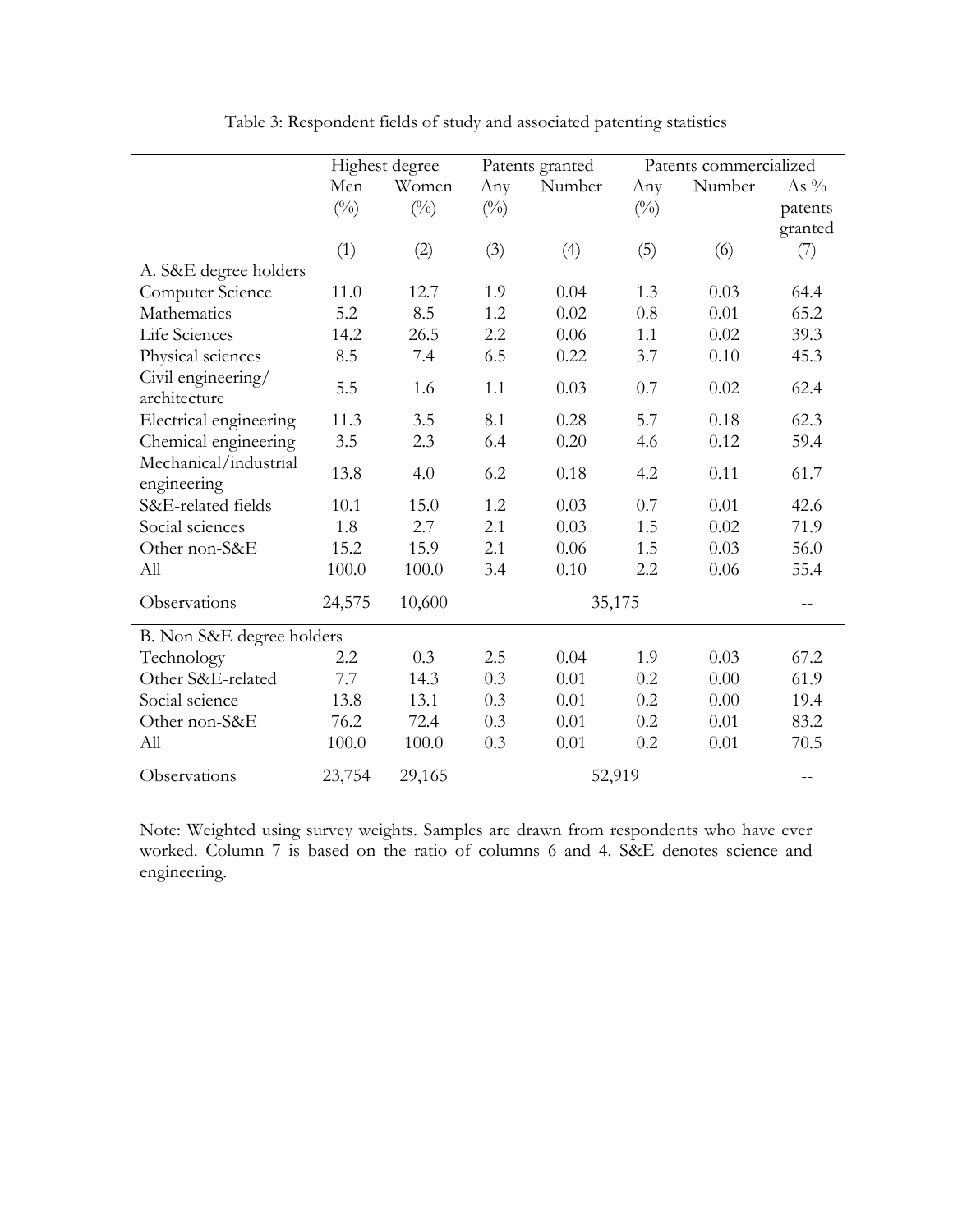|                                      |              | Highest degree |              | Patents granted |              | Patents commercialized |         |
|--------------------------------------|--------------|----------------|--------------|-----------------|--------------|------------------------|---------|
|                                      | Men          | Women          | Any          | Number          | Any          | Number                 | As $\%$ |
|                                      | $(^{0}_{0})$ | $(^{0}_{0})$   | $(^{0}_{0})$ |                 | $(^{0}_{0})$ |                        | patents |
|                                      |              |                |              |                 |              |                        | granted |
|                                      | (1)          | (2)            | (3)          | (4)             | (5)          | (6)                    | (7)     |
| A. S&E degree holders                |              |                |              |                 |              |                        |         |
| Computer Science                     | 11.0         | 12.7           | 1.9          | 0.04            | 1.3          | 0.03                   | 64.4    |
| Mathematics                          | 5.2          | 8.5            | 1.2          | 0.02            | 0.8          | 0.01                   | 65.2    |
| Life Sciences                        | 14.2         | 26.5           | 2.2          | 0.06            | 1.1          | 0.02                   | 39.3    |
| Physical sciences                    | 8.5          | 7.4            | 6.5          | 0.22            | 3.7          | 0.10                   | 45.3    |
| Civil engineering/<br>architecture   | 5.5          | 1.6            | 1.1          | 0.03            | 0.7          | 0.02                   | 62.4    |
| Electrical engineering               | 11.3         | 3.5            | 8.1          | 0.28            | 5.7          | 0.18                   | 62.3    |
| Chemical engineering                 | 3.5          | 2.3            | 6.4          | 0.20            | 4.6          | 0.12                   | 59.4    |
| Mechanical/industrial<br>engineering | 13.8         | 4.0            | 6.2          | 0.18            | 4.2          | 0.11                   | 61.7    |
| S&E-related fields                   | 10.1         | 15.0           | 1.2          | 0.03            | 0.7          | 0.01                   | 42.6    |
| Social sciences                      | 1.8          | 2.7            | 2.1          | 0.03            | 1.5          | 0.02                   | 71.9    |
| Other non-S&E                        | 15.2         | 15.9           | 2.1          | 0.06            | 1.5          | 0.03                   | 56.0    |
| All                                  | 100.0        | 100.0          | 3.4          | 0.10            | 2.2          | 0.06                   | 55.4    |
| Observations                         | 24,575       | 10,600         |              | 35,175          |              |                        | $-\,-$  |
| B. Non S&E degree holders            |              |                |              |                 |              |                        |         |
| Technology                           | 2.2          | 0.3            | 2.5          | 0.04            | 1.9          | 0.03                   | 67.2    |
| Other S&E-related                    | 7.7          | 14.3           | 0.3          | 0.01            | 0.2          | 0.00                   | 61.9    |
| Social science                       | 13.8         | 13.1           | 0.3          | 0.01            | 0.2          | 0.00                   | 19.4    |
| Other non-S&E                        | 76.2         | 72.4           | 0.3          | 0.01            | 0.2          | 0.01                   | 83.2    |
| All                                  | 100.0        | 100.0          | 0.3          | 0.01            | 0.2          | 0.01                   | 70.5    |
| Observations                         | 23,754       | 29,165         |              | 52,919          |              |                        | $-$     |

Table 3: Respondent fields of study and associated patenting statistics

Note: Weighted using survey weights. Samples are drawn from respondents who have ever worked. Column 7 is based on the ratio of columns 6 and 4. S&E denotes science and engineering.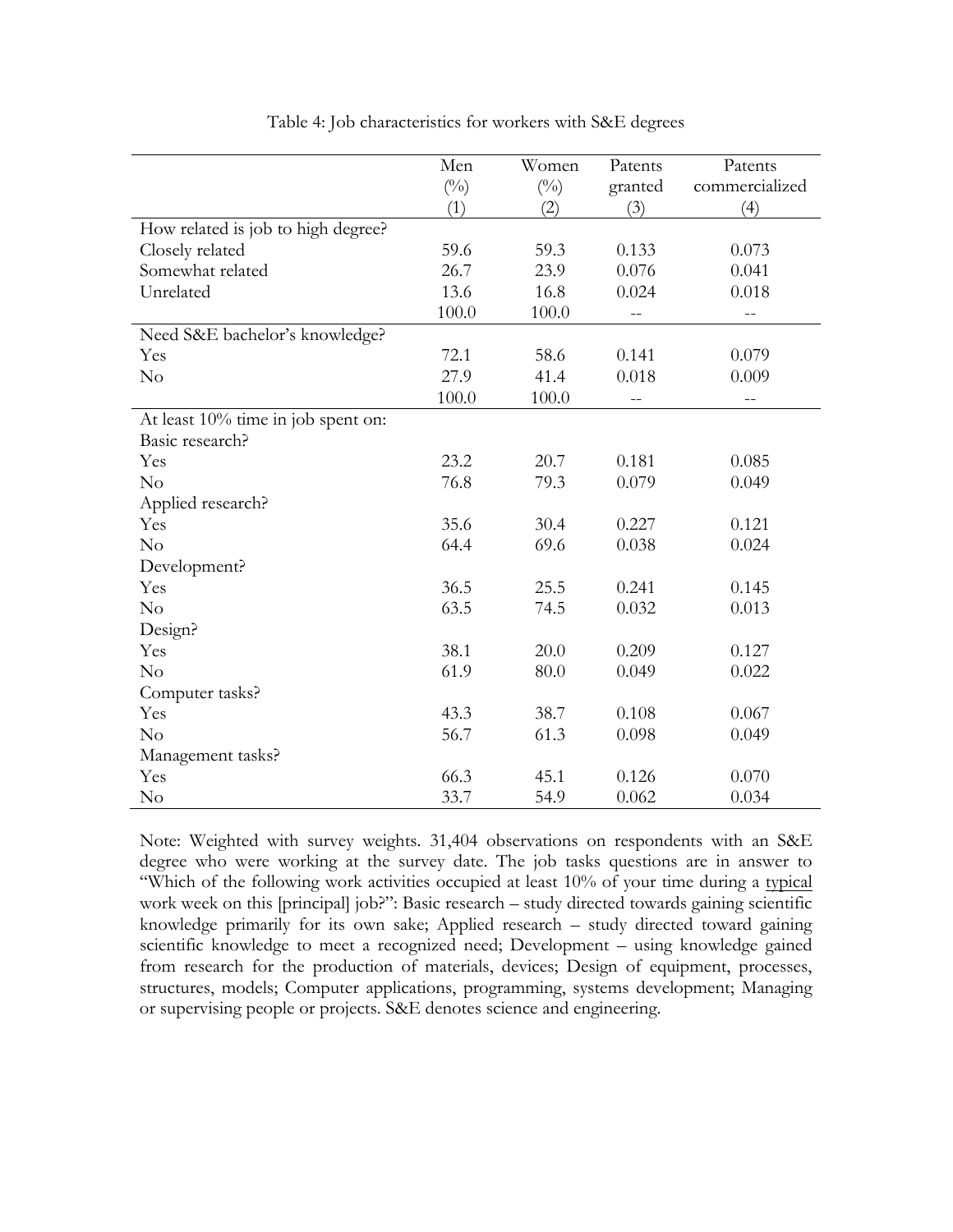|                                    | Men           | Women        | Patents | Patents        |
|------------------------------------|---------------|--------------|---------|----------------|
|                                    | $(^{0}/_{0})$ | $(^{0}_{0})$ | granted | commercialized |
|                                    | (1)           | (2)          | (3)     | (4)            |
| How related is job to high degree? |               |              |         |                |
| Closely related                    | 59.6          | 59.3         | 0.133   | 0.073          |
| Somewhat related                   | 26.7          | 23.9         | 0.076   | 0.041          |
| Unrelated                          | 13.6          | 16.8         | 0.024   | 0.018          |
|                                    | 100.0         | 100.0        |         |                |
| Need S&E bachelor's knowledge?     |               |              |         |                |
| Yes                                | 72.1          | 58.6         | 0.141   | 0.079          |
| No                                 | 27.9          | 41.4         | 0.018   | 0.009          |
|                                    | 100.0         | 100.0        | $-$     | $- -$          |
| At least 10% time in job spent on: |               |              |         |                |
| Basic research?                    |               |              |         |                |
| Yes                                | 23.2          | 20.7         | 0.181   | 0.085          |
| No                                 | 76.8          | 79.3         | 0.079   | 0.049          |
| Applied research?                  |               |              |         |                |
| Yes                                | 35.6          | 30.4         | 0.227   | 0.121          |
| No                                 | 64.4          | 69.6         | 0.038   | 0.024          |
| Development?                       |               |              |         |                |
| Yes                                | 36.5          | 25.5         | 0.241   | 0.145          |
| No                                 | 63.5          | 74.5         | 0.032   | 0.013          |
| Design?                            |               |              |         |                |
| Yes                                | 38.1          | 20.0         | 0.209   | 0.127          |
| No                                 | 61.9          | 80.0         | 0.049   | 0.022          |
| Computer tasks?                    |               |              |         |                |
| Yes                                | 43.3          | 38.7         | 0.108   | 0.067          |
| No                                 | 56.7          | 61.3         | 0.098   | 0.049          |
| Management tasks?                  |               |              |         |                |
| Yes                                | 66.3          | 45.1         | 0.126   | 0.070          |
| No                                 | 33.7          | 54.9         | 0.062   | 0.034          |

Table 4: Job characteristics for workers with S&E degrees

Note: Weighted with survey weights. 31,404 observations on respondents with an S&E degree who were working at the survey date. The job tasks questions are in answer to "Which of the following work activities occupied at least 10% of your time during a typical work week on this [principal] job?": Basic research – study directed towards gaining scientific knowledge primarily for its own sake; Applied research – study directed toward gaining scientific knowledge to meet a recognized need; Development – using knowledge gained from research for the production of materials, devices; Design of equipment, processes, structures, models; Computer applications, programming, systems development; Managing or supervising people or projects. S&E denotes science and engineering.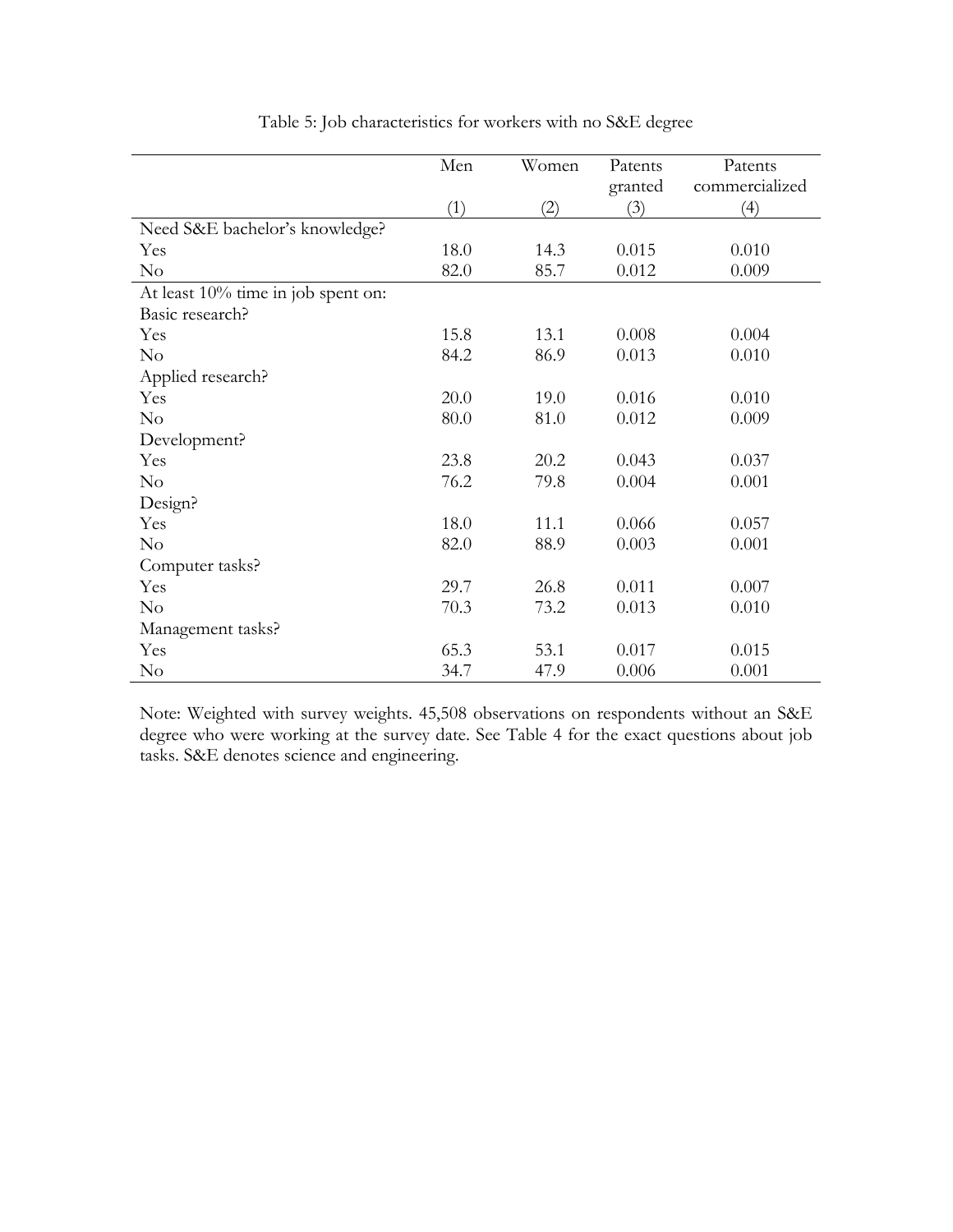|                                    | Men  | Women | Patents | Patents        |
|------------------------------------|------|-------|---------|----------------|
|                                    |      |       | granted | commercialized |
|                                    | (1)  | (2)   | (3)     | (4)            |
| Need S&E bachelor's knowledge?     |      |       |         |                |
| Yes                                | 18.0 | 14.3  | 0.015   | 0.010          |
| No                                 | 82.0 | 85.7  | 0.012   | 0.009          |
| At least 10% time in job spent on: |      |       |         |                |
| Basic research?                    |      |       |         |                |
| Yes                                | 15.8 | 13.1  | 0.008   | 0.004          |
| $\rm No$                           | 84.2 | 86.9  | 0.013   | 0.010          |
| Applied research?                  |      |       |         |                |
| Yes                                | 20.0 | 19.0  | 0.016   | 0.010          |
| $\rm No$                           | 80.0 | 81.0  | 0.012   | 0.009          |
| Development?                       |      |       |         |                |
| Yes                                | 23.8 | 20.2  | 0.043   | 0.037          |
| $\rm No$                           | 76.2 | 79.8  | 0.004   | 0.001          |
| Design?                            |      |       |         |                |
| Yes                                | 18.0 | 11.1  | 0.066   | 0.057          |
| $\rm No$                           | 82.0 | 88.9  | 0.003   | 0.001          |
| Computer tasks?                    |      |       |         |                |
| Yes                                | 29.7 | 26.8  | 0.011   | 0.007          |
| $\rm No$                           | 70.3 | 73.2  | 0.013   | 0.010          |
| Management tasks?                  |      |       |         |                |
| Yes                                | 65.3 | 53.1  | 0.017   | 0.015          |
| $\rm No$                           | 34.7 | 47.9  | 0.006   | 0.001          |

Table 5: Job characteristics for workers with no S&E degree

Note: Weighted with survey weights. 45,508 observations on respondents without an S&E degree who were working at the survey date. See Table 4 for the exact questions about job tasks. S&E denotes science and engineering.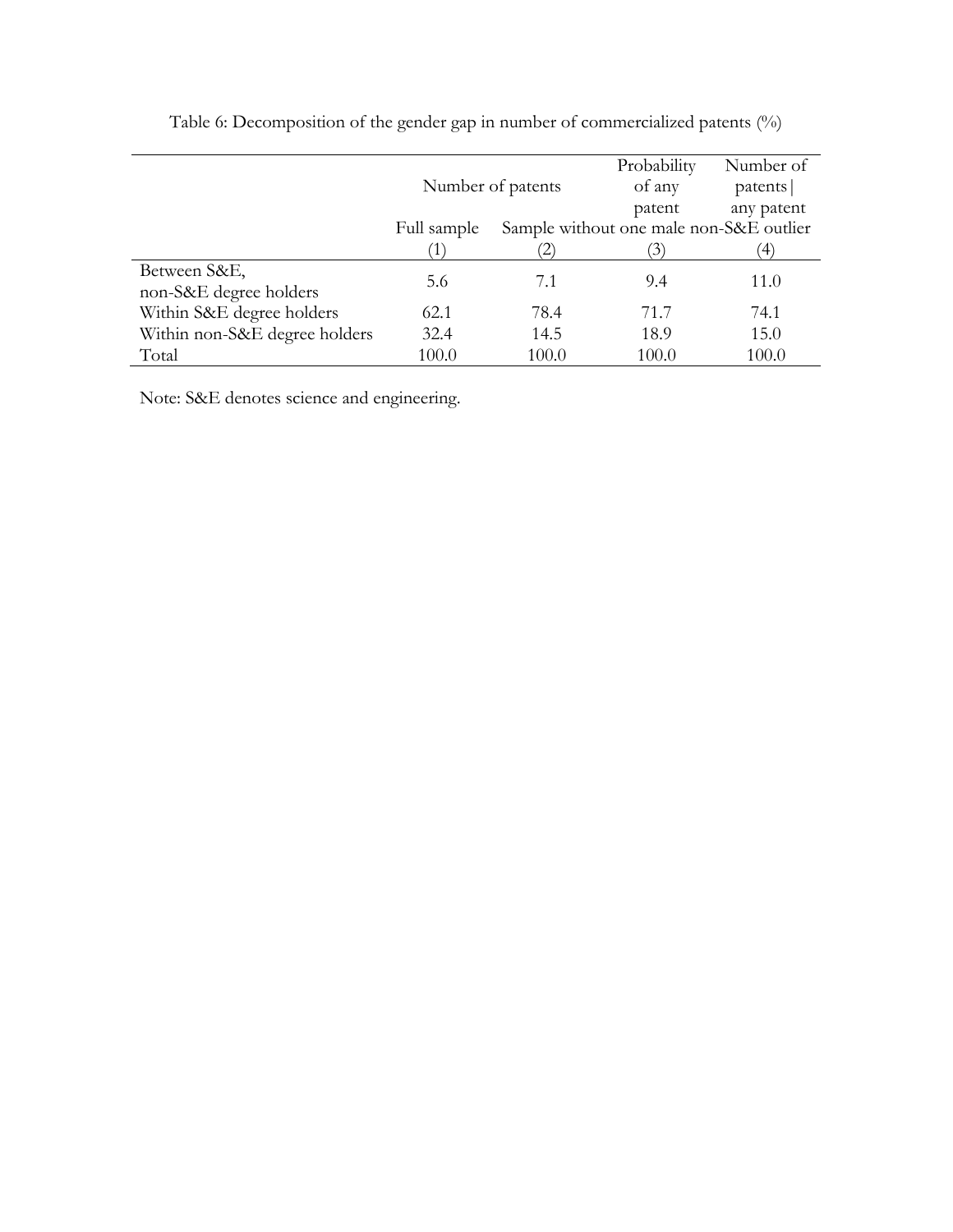|                                        |             | Number of patents                       | Probability<br>of any | Number of<br>patents |
|----------------------------------------|-------------|-----------------------------------------|-----------------------|----------------------|
|                                        |             |                                         | patent                | any patent           |
|                                        | Full sample | Sample without one male non-S&E outlier |                       |                      |
|                                        |             |                                         | $\mathfrak{I}$        | '4)                  |
| Between S&E,<br>non-S&E degree holders | 5.6         | 7.1                                     | 9.4                   | 11.0                 |
| Within S&E degree holders              | 62.1        | 78.4                                    | 71.7                  | 74.1                 |
| Within non-S&E degree holders          | 32.4        | 14.5                                    | 18.9                  | 15.0                 |
| Total                                  | 100.0       | 100.0                                   | 100.0                 | 100.0                |

Table 6: Decomposition of the gender gap in number of commercialized patents (%)

Note: S&E denotes science and engineering.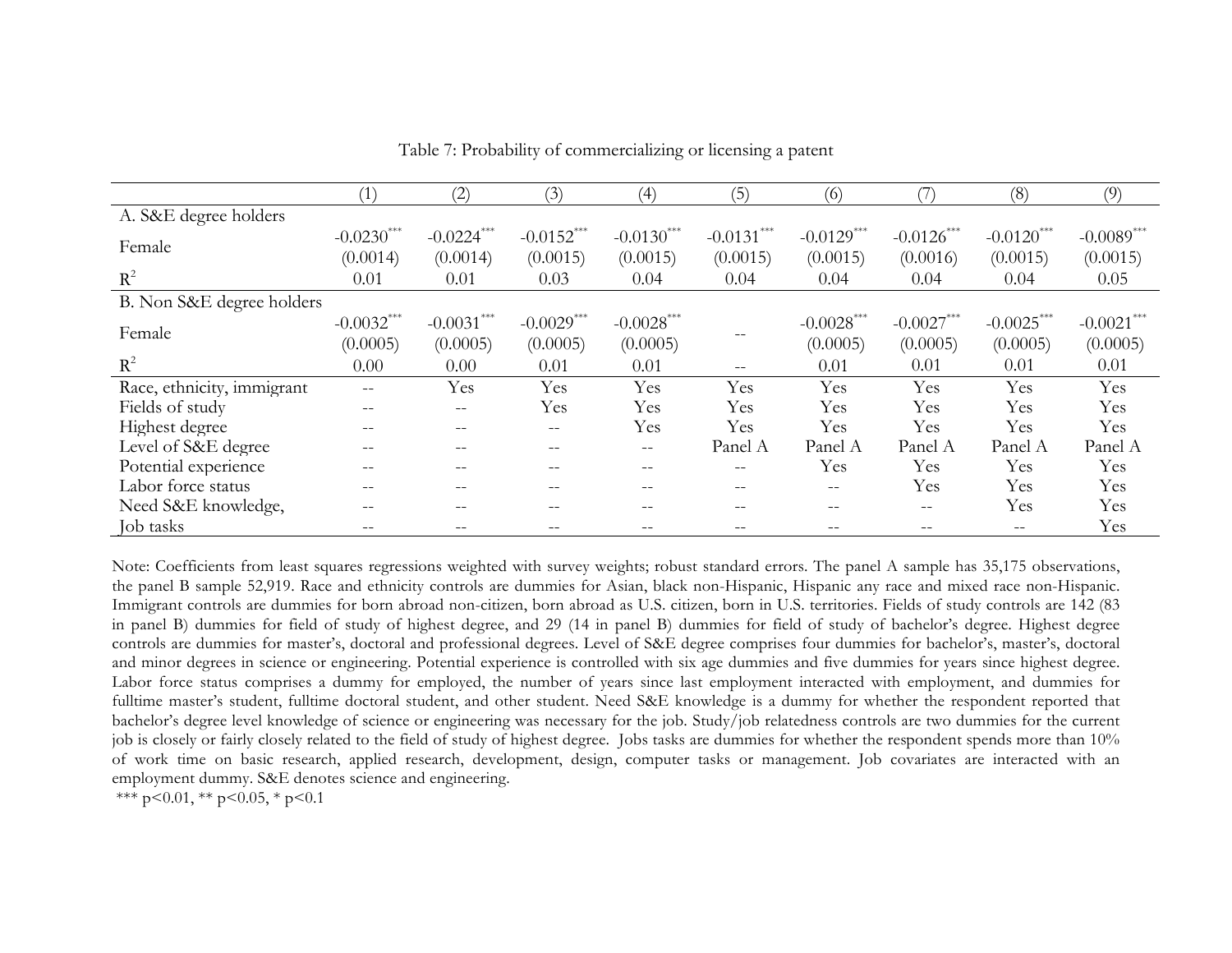|                            | $^{\prime}1)$ | (2)          | (3)          | (4)               | (5)          | (6)          |                   | (8)           | (9)          |
|----------------------------|---------------|--------------|--------------|-------------------|--------------|--------------|-------------------|---------------|--------------|
| A. S&E degree holders      |               |              |              |                   |              |              |                   |               |              |
|                            | $-0.0230***$  | $-0.0224***$ | $-0.0152***$ | $-0.0130***$      | $-0.0131***$ | $-0.0129***$ | $-0.0126***$      | $-0.0120$ *** | $-0.0089***$ |
| Female                     | (0.0014)      | (0.0014)     | (0.0015)     | (0.0015)          | (0.0015)     | (0.0015)     | (0.0016)          | (0.0015)      | (0.0015)     |
| $R^2$                      | 0.01          | 0.01         | 0.03         | 0.04              | 0.04         | 0.04         | 0.04              | 0.04          | 0.05         |
| B. Non S&E degree holders  |               |              |              |                   |              |              |                   |               |              |
| Female                     | $-0.0032***$  | $-0.0031***$ | $-0.0029***$ | $-0.0028***$      |              | $-0.0028***$ | $-0.0027***$      | $-0.0025***$  | $-0.0021***$ |
|                            | (0.0005)      | (0.0005)     | (0.0005)     | (0.0005)          |              | (0.0005)     | (0.0005)          | (0.0005)      | (0.0005)     |
| $R^2$                      | 0.00          | 0.00         | 0.01         | 0.01              | $- -$        | 0.01         | 0.01              | 0.01          | 0.01         |
| Race, ethnicity, immigrant | --            | Yes          | Yes          | Yes               | Yes          | Yes          | Yes               | Yes           | Yes          |
| Fields of study            |               | --           | Yes          | Yes               | Yes          | Yes          | Yes               | Yes           | Yes          |
| Highest degree             | --            |              | $- -$        | Yes               | Yes          | Yes          | Yes               | Yes           | Yes          |
| Level of S&E degree        | --            |              | $- -$        | $- -$             | Panel A      | Panel A      | Panel A           | Panel A       | Panel A      |
| Potential experience       | $- -$         | --           | $- -$        | $\qquad \qquad -$ | $- -$        | Yes          | Yes               | Yes           | Yes          |
| Labor force status         |               |              |              | --                |              |              | Yes               | Yes           | Yes          |
| Need S&E knowledge,        |               |              |              |                   |              |              | $\qquad \qquad -$ | Yes           | Yes          |
| Job tasks                  |               |              |              |                   |              |              |                   |               | Yes          |

Table 7: Probability of commercializing or licensing a patent

Note: Coefficients from least squares regressions weighted with survey weights; robust standard errors. The panel A sample has 35,175 observations, the panel B sample 52,919. Race and ethnicity controls are dummies for Asian, black non-Hispanic, Hispanic any race and mixed race non-Hispanic. Immigrant controls are dummies for born abroad non-citizen, born abroad as U.S. citizen, born in U.S. territories. Fields of study controls are 142 (83 in panel B) dummies for field of study of highest degree, and 29 (14 in panel B) dummies for field of study of bachelor's degree. Highest degree controls are dummies for master's, doctoral and professional degrees. Level of S&E degree comprises four dummies for bachelor's, master's, doctoral and minor degrees in science or engineering. Potential experience is controlled with six age dummies and five dummies for years since highest degree. Labor force status comprises a dummy for employed, the number of years since last employment interacted with employment, and dummies for fulltime master's student, fulltime doctoral student, and other student. Need S&E knowledge is a dummy for whether the respondent reported that bachelor's degree level knowledge of science or engineering was necessary for the job. Study/job relatedness controls are two dummies for the current job is closely or fairly closely related to the field of study of highest degree. Jobs tasks are dummies for whether the respondent spends more than 10% of work time on basic research, applied research, development, design, computer tasks or management. Job covariates are interacted with an employment dummy. S&E denotes science and engineering.

\*\*\* p<0.01, \*\* p<0.05, \* p<0.1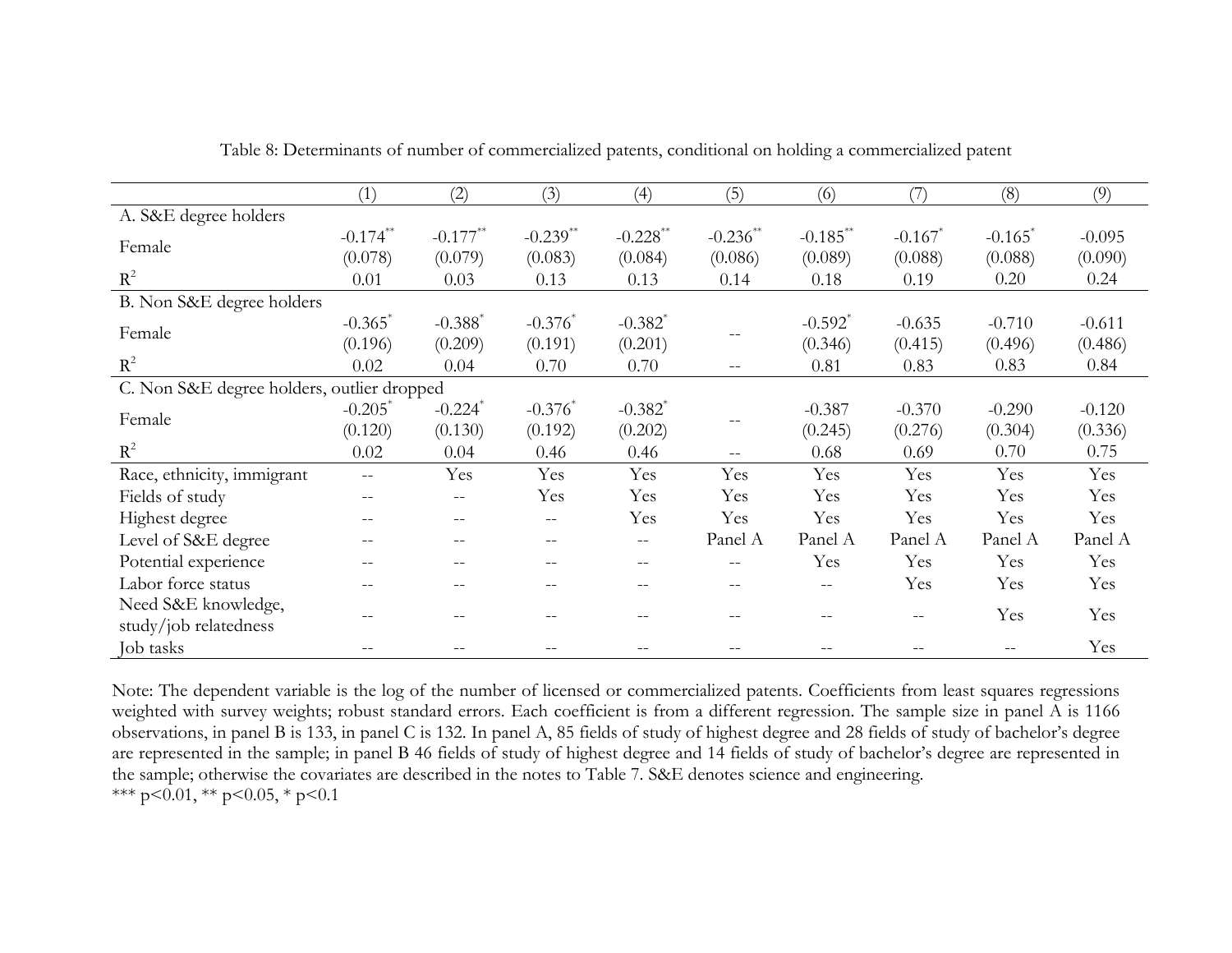|                                            | (1)                   | (2)                   | (3)                    | (4)                                 | (5)               | (6)                                                 | (7)                   | (8)                   | (9)      |
|--------------------------------------------|-----------------------|-----------------------|------------------------|-------------------------------------|-------------------|-----------------------------------------------------|-----------------------|-----------------------|----------|
| A. S&E degree holders                      |                       |                       |                        |                                     |                   |                                                     |                       |                       |          |
| Female                                     | $-0.174$ **           | $-0.177**$            | $-0.239$ <sup>**</sup> | $-0.228$ **                         | $-0.236$ **       | $-0.185***$                                         | $-0.167$ <sup>*</sup> | $-0.165$ <sup>*</sup> | $-0.095$ |
|                                            | (0.078)               | (0.079)               | (0.083)                | (0.084)                             | (0.086)           | (0.089)                                             | (0.088)               | (0.088)               | (0.090)  |
| $R^2$                                      | 0.01                  | 0.03                  | 0.13                   | 0.13                                | 0.14              | 0.18                                                | 0.19                  | 0.20                  | 0.24     |
| B. Non S&E degree holders                  |                       |                       |                        |                                     |                   |                                                     |                       |                       |          |
| Female                                     | $-0.365$ <sup>*</sup> | $-0.388$ <sup>*</sup> | $-0.376^*$             | $-0.382$ <sup>*</sup>               |                   | $-0.592$ <sup>*</sup>                               | $-0.635$              | $-0.710$              | $-0.611$ |
|                                            | (0.196)               | (0.209)               | (0.191)                | (0.201)                             |                   | (0.346)                                             | (0.415)               | (0.496)               | (0.486)  |
| $R^2$                                      | 0.02                  | 0.04                  | 0.70                   | 0.70                                |                   | 0.81                                                | 0.83                  | 0.83                  | 0.84     |
| C. Non S&E degree holders, outlier dropped |                       |                       |                        |                                     |                   |                                                     |                       |                       |          |
| Female                                     | $-0.205$ <sup>*</sup> | $-0.224$ <sup>*</sup> | $-0.376^*$             | $-0.382$ <sup>*</sup>               |                   | $-0.387$                                            | $-0.370$              | $-0.290$              | $-0.120$ |
|                                            | (0.120)               | (0.130)               | (0.192)                | (0.202)                             |                   | (0.245)                                             | (0.276)               | (0.304)               | (0.336)  |
| $R^2$                                      | 0.02                  | 0.04                  | 0.46                   | 0.46                                | $\qquad \qquad -$ | 0.68                                                | 0.69                  | 0.70                  | 0.75     |
| Race, ethnicity, immigrant                 | $--$                  | Yes                   | Yes                    | Yes                                 | Yes               | Yes                                                 | Yes                   | Yes                   | Yes      |
| Fields of study                            |                       |                       | Yes                    | Yes                                 | Yes               | Yes                                                 | Yes                   | Yes                   | Yes      |
| Highest degree                             | $- -$                 | --                    | $- -$                  | Yes                                 | Yes               | Yes                                                 | Yes                   | Yes                   | Yes      |
| Level of S&E degree                        |                       |                       |                        | --                                  | Panel A           | Panel A                                             | Panel A               | Panel A               | Panel A  |
| Potential experience                       | $- -$                 |                       |                        | $\sim$ $\sim$                       | $- -$             | Yes                                                 | Yes                   | Yes                   | Yes      |
| Labor force status                         |                       |                       |                        | $\hspace{0.05cm}$ $\hspace{0.05cm}$ |                   | $\hspace{0.05cm} -\hspace{0.05cm} -\hspace{0.05cm}$ | Yes                   | Yes                   | Yes      |
| Need S&E knowledge,                        |                       |                       |                        |                                     |                   |                                                     |                       | Yes                   | Yes      |
| study/job relatedness                      |                       |                       |                        |                                     |                   |                                                     |                       |                       |          |
| Job tasks                                  |                       |                       |                        |                                     |                   |                                                     |                       |                       | Yes      |

Table 8: Determinants of number of commercialized patents, conditional on holding a commercialized patent

Note: The dependent variable is the log of the number of licensed or commercialized patents. Coefficients from least squares regressions weighted with survey weights; robust standard errors. Each coefficient is from a different regression. The sample size in panel A is 1166 observations, in panel B is 133, in panel C is 132. In panel A, 85 fields of study of highest degree and 28 fields of study of bachelor's degree are represented in the sample; in panel B 46 fields of study of highest degree and 14 fields of study of bachelor's degree are represented in the sample; otherwise the covariates are described in the notes to Table 7. S&E denotes science and engineering. \*\*\* p<0.01, \*\* p<0.05, \* p<0.1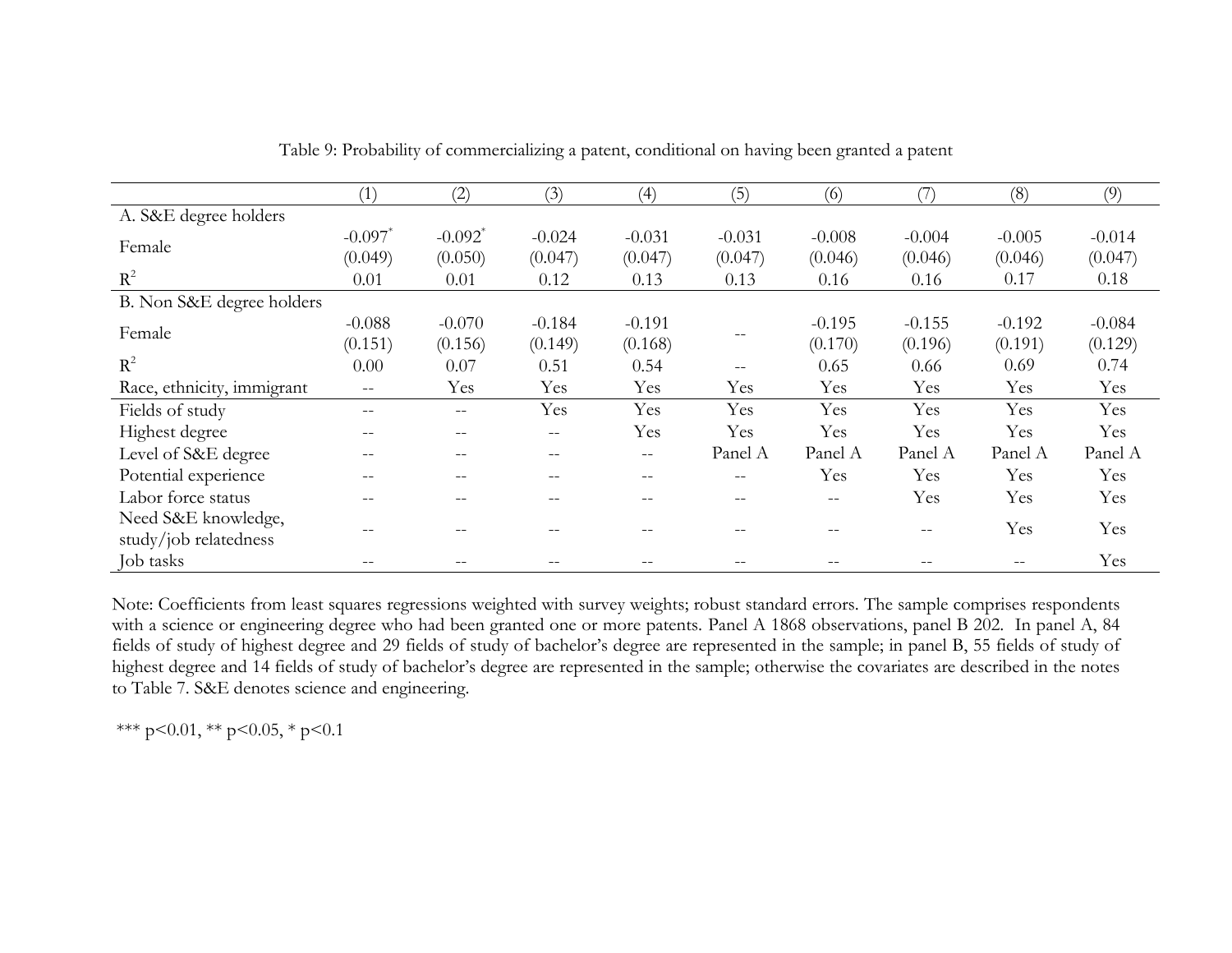|                            | (1)                      | (2)                   | (3)               | (4)      | (5)      | (6)      |          | (8)      | (9)      |
|----------------------------|--------------------------|-----------------------|-------------------|----------|----------|----------|----------|----------|----------|
| A. S&E degree holders      |                          |                       |                   |          |          |          |          |          |          |
| Female                     | $-0.097$ <sup>*</sup>    | $-0.092$ <sup>*</sup> | $-0.024$          | $-0.031$ | $-0.031$ | $-0.008$ | $-0.004$ | $-0.005$ | $-0.014$ |
|                            | (0.049)                  | (0.050)               | (0.047)           | (0.047)  | (0.047)  | (0.046)  | (0.046)  | (0.046)  | (0.047)  |
| $R^2$                      | 0.01                     | 0.01                  | 0.12              | 0.13     | 0.13     | 0.16     | 0.16     | 0.17     | 0.18     |
| B. Non S&E degree holders  |                          |                       |                   |          |          |          |          |          |          |
| Female                     | $-0.088$                 | $-0.070$              | $-0.184$          | $-0.191$ |          | $-0.195$ | $-0.155$ | $-0.192$ | $-0.084$ |
|                            | (0.151)                  | (0.156)               | (0.149)           | (0.168)  |          | (0.170)  | (0.196)  | (0.191)  | (0.129)  |
| $R^2$                      | 0.00                     | 0.07                  | 0.51              | 0.54     |          | 0.65     | 0.66     | 0.69     | 0.74     |
| Race, ethnicity, immigrant | $\overline{\phantom{m}}$ | Yes                   | Yes               | Yes      | Yes      | Yes      | Yes      | Yes      | Yes      |
| Fields of study            | $-$                      | $- -$                 | Yes               | Yes      | Yes      | Yes      | Yes      | Yes      | Yes      |
| Highest degree             | $- -$                    |                       | $-\,-$            | Yes      | Yes      | Yes      | Yes      | Yes      | Yes      |
| Level of S&E degree        | $-$                      |                       | $- -$             | $-\,-$   | Panel A  | Panel A  | Panel A  | Panel A  | Panel A  |
| Potential experience       |                          |                       | $\qquad \qquad -$ | $- -$    |          | Yes      | Yes      | Yes      | Yes      |
| Labor force status         | $-$                      |                       | $- -$             | --       | $ -$     | $- -$    | Yes      | Yes      | Yes      |
| Need S&E knowledge,        |                          |                       |                   |          |          |          |          | Yes      | Yes      |
| study/job relatedness      |                          |                       |                   |          |          | $- -$    | $- -$    |          |          |
| Job tasks                  |                          |                       |                   |          |          |          | --       |          | Yes      |

Table 9: Probability of commercializing a patent, conditional on having been granted a patent

Note: Coefficients from least squares regressions weighted with survey weights; robust standard errors. The sample comprises respondents with a science or engineering degree who had been granted one or more patents. Panel A 1868 observations, panel B 202. In panel A, 84 fields of study of highest degree and 29 fields of study of bachelor's degree are represented in the sample; in panel B, 55 fields of study of highest degree and 14 fields of study of bachelor's degree are represented in the sample; otherwise the covariates are described in the notes to Table 7. S&E denotes science and engineering.

\*\*\* p<0.01, \*\* p<0.05, \* p<0.1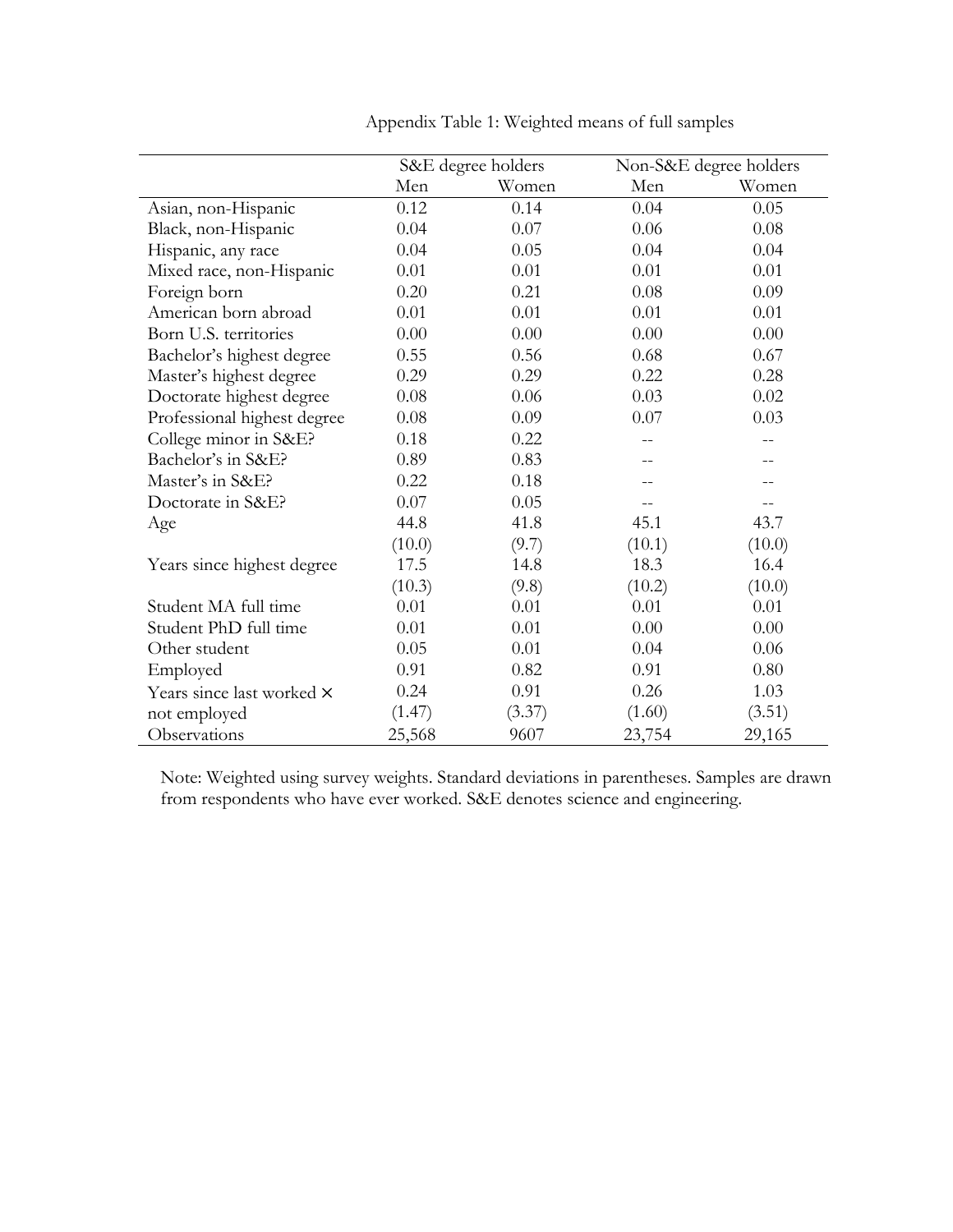|                             |        | S&E degree holders |        | Non-S&E degree holders |
|-----------------------------|--------|--------------------|--------|------------------------|
|                             | Men    | Women              | Men    | Women                  |
| Asian, non-Hispanic         | 0.12   | 0.14               | 0.04   | 0.05                   |
| Black, non-Hispanic         | 0.04   | 0.07               | 0.06   | 0.08                   |
| Hispanic, any race          | 0.04   | 0.05               | 0.04   | 0.04                   |
| Mixed race, non-Hispanic    | 0.01   | 0.01               | 0.01   | 0.01                   |
| Foreign born                | 0.20   | 0.21               | 0.08   | 0.09                   |
| American born abroad        | 0.01   | 0.01               | 0.01   | 0.01                   |
| Born U.S. territories       | 0.00   | 0.00               | 0.00   | 0.00                   |
| Bachelor's highest degree   | 0.55   | 0.56               | 0.68   | 0.67                   |
| Master's highest degree     | 0.29   | 0.29               | 0.22   | 0.28                   |
| Doctorate highest degree    | 0.08   | 0.06               | 0.03   | 0.02                   |
| Professional highest degree | 0.08   | 0.09               | 0.07   | 0.03                   |
| College minor in S&E?       | 0.18   | 0.22               |        |                        |
| Bachelor's in S&E?          | 0.89   | 0.83               |        |                        |
| Master's in S&E?            | 0.22   | 0.18               |        |                        |
| Doctorate in S&E?           | 0.07   | 0.05               |        |                        |
| Age                         | 44.8   | 41.8               | 45.1   | 43.7                   |
|                             | (10.0) | (9.7)              | (10.1) | (10.0)                 |
| Years since highest degree  | 17.5   | 14.8               | 18.3   | 16.4                   |
|                             | (10.3) | (9.8)              | (10.2) | (10.0)                 |
| Student MA full time        | 0.01   | 0.01               | 0.01   | 0.01                   |
| Student PhD full time       | 0.01   | 0.01               | 0.00   | 0.00                   |
| Other student               | 0.05   | 0.01               | 0.04   | 0.06                   |
| Employed                    | 0.91   | 0.82               | 0.91   | 0.80                   |
| Years since last worked ×   | 0.24   | 0.91               | 0.26   | 1.03                   |
| not employed                | (1.47) | (3.37)             | (1.60) | (3.51)                 |
| Observations                | 25,568 | 9607               | 23,754 | 29,165                 |

Appendix Table 1: Weighted means of full samples

Note: Weighted using survey weights. Standard deviations in parentheses. Samples are drawn from respondents who have ever worked. S&E denotes science and engineering.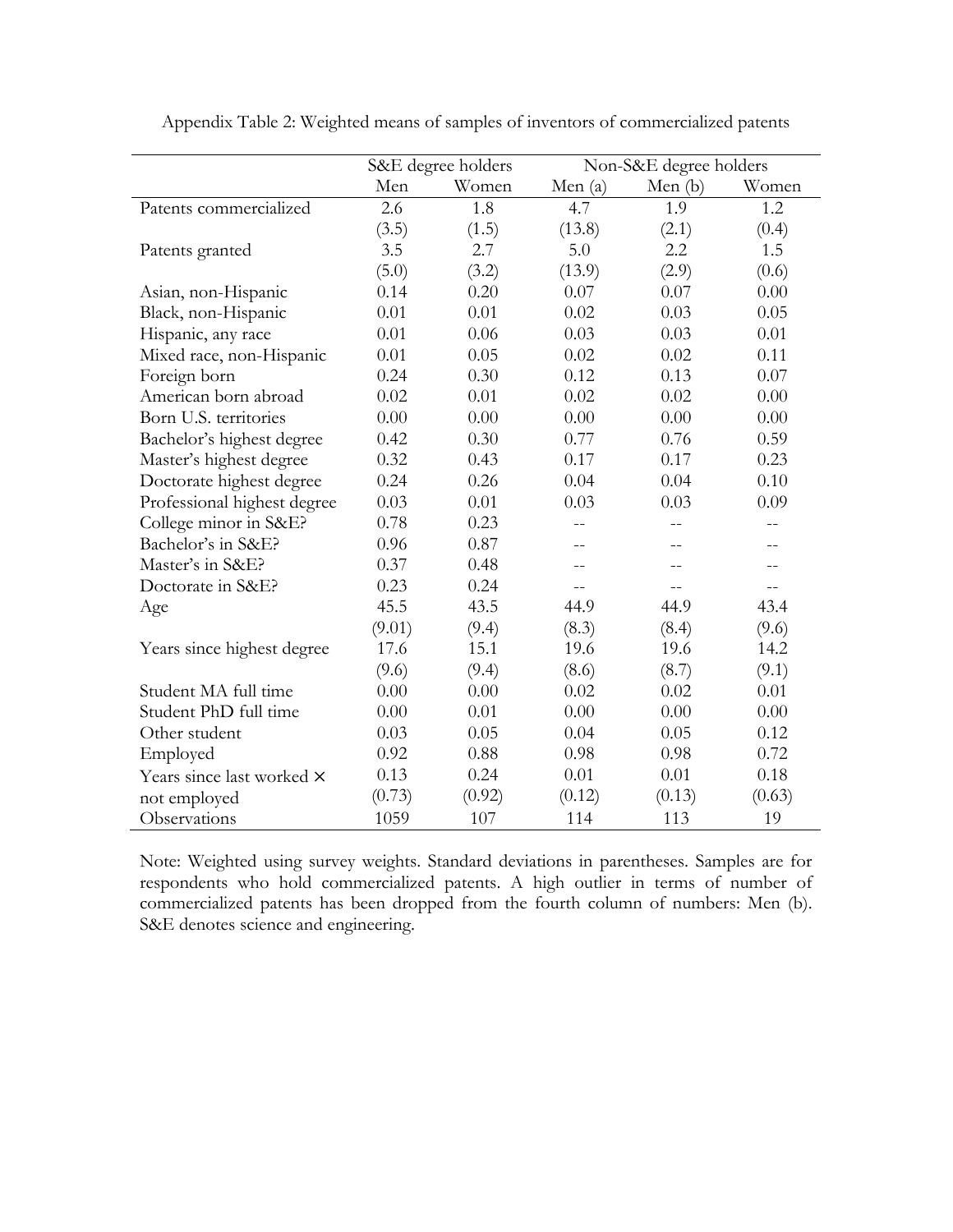|                             |        | S&E degree holders |           | Non-S&E degree holders |        |
|-----------------------------|--------|--------------------|-----------|------------------------|--------|
|                             | Men    | Women              | Men $(a)$ | Men $(b)$              | Women  |
| Patents commercialized      | 2.6    | 1.8                | 4.7       | 1.9                    | 1.2    |
|                             | (3.5)  | (1.5)              | (13.8)    | (2.1)                  | (0.4)  |
| Patents granted             | 3.5    | 2.7                | 5.0       | 2.2                    | 1.5    |
|                             | (5.0)  | (3.2)              | (13.9)    | (2.9)                  | (0.6)  |
| Asian, non-Hispanic         | 0.14   | 0.20               | 0.07      | 0.07                   | 0.00   |
| Black, non-Hispanic         | 0.01   | 0.01               | 0.02      | 0.03                   | 0.05   |
| Hispanic, any race          | 0.01   | 0.06               | 0.03      | 0.03                   | 0.01   |
| Mixed race, non-Hispanic    | 0.01   | 0.05               | 0.02      | 0.02                   | 0.11   |
| Foreign born                | 0.24   | 0.30               | 0.12      | 0.13                   | 0.07   |
| American born abroad        | 0.02   | 0.01               | 0.02      | 0.02                   | 0.00   |
| Born U.S. territories       | 0.00   | 0.00               | 0.00      | 0.00                   | 0.00   |
| Bachelor's highest degree   | 0.42   | 0.30               | 0.77      | 0.76                   | 0.59   |
| Master's highest degree     | 0.32   | 0.43               | 0.17      | 0.17                   | 0.23   |
| Doctorate highest degree    | 0.24   | 0.26               | 0.04      | 0.04                   | 0.10   |
| Professional highest degree | 0.03   | 0.01               | 0.03      | 0.03                   | 0.09   |
| College minor in S&E?       | 0.78   | 0.23               |           |                        | $-$    |
| Bachelor's in S&E?          | 0.96   | 0.87               | --        | $- -$                  | $- -$  |
| Master's in S&E?            | 0.37   | 0.48               | $- -$     | $-$                    | $-$    |
| Doctorate in S&E?           | 0.23   | 0.24               | $-$       |                        |        |
| Age                         | 45.5   | 43.5               | 44.9      | 44.9                   | 43.4   |
|                             | (9.01) | (9.4)              | (8.3)     | (8.4)                  | (9.6)  |
| Years since highest degree  | 17.6   | 15.1               | 19.6      | 19.6                   | 14.2   |
|                             | (9.6)  | (9.4)              | (8.6)     | (8.7)                  | (9.1)  |
| Student MA full time        | 0.00   | 0.00               | 0.02      | 0.02                   | 0.01   |
| Student PhD full time       | 0.00   | 0.01               | 0.00      | 0.00                   | 0.00   |
| Other student               | 0.03   | 0.05               | 0.04      | 0.05                   | 0.12   |
| Employed                    | 0.92   | 0.88               | 0.98      | 0.98                   | 0.72   |
| Years since last worked ×   | 0.13   | 0.24               | 0.01      | 0.01                   | 0.18   |
| not employed                | (0.73) | (0.92)             | (0.12)    | (0.13)                 | (0.63) |
| Observations                | 1059   | 107                | 114       | 113                    | 19     |

Appendix Table 2: Weighted means of samples of inventors of commercialized patents

Note: Weighted using survey weights. Standard deviations in parentheses. Samples are for respondents who hold commercialized patents. A high outlier in terms of number of commercialized patents has been dropped from the fourth column of numbers: Men (b). S&E denotes science and engineering.